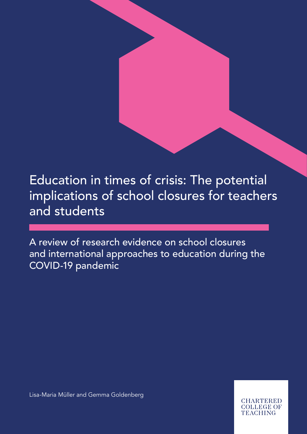Education in times of crisis: The potential implications of school closures for teachers and students

A review of research evidence on school closures and international approaches to education during the COVID-19 pandemic

Lisa-Maria Müller and Gemma Goldenberg

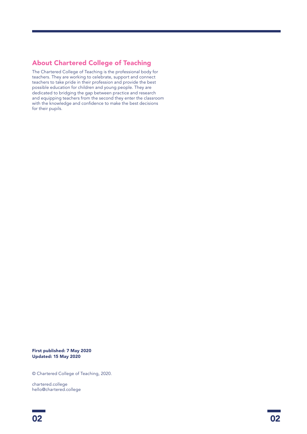### About Chartered College of Teaching

The Chartered College of Teaching is the professional body for teachers. They are working to celebrate, support and connect teachers to take pride in their profession and provide the best possible education for children and young people. They are dedicated to bridging the gap between practice and research and equipping teachers from the second they enter the classroom with the knowledge and confidence to make the best decisions for their pupils.

First published: 7 May 2020 Updated: 15 May 2020

© Chartered College of Teaching, 2020.

chartered.college hello@chartered.college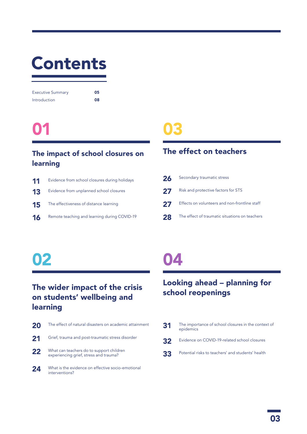## Contents

| <b>Executive Summary</b> | 05 |
|--------------------------|----|
| Introduction             | 08 |

### 01

### The impact of school closures on learning

| 11 | Evidence from school closures during holidays |
|----|-----------------------------------------------|
| 13 | Evidence from unplanned school closures       |
| 15 | The effectiveness of distance learning        |
| 16 | Remote teaching and learning during COVID-19  |
|    |                                               |

### 03

### The effect on teachers

| 26 | Secondary traumatic stress                     |
|----|------------------------------------------------|
| 27 | Risk and protective factors for STS            |
| 27 | Effects on volunteers and non-frontline staff  |
| 28 | The effect of traumatic situations on teachers |

## 02

### The wider impact of the crisis on students' wellbeing and learning

| 20 | The effect of natural disasters on academic attainment                             |
|----|------------------------------------------------------------------------------------|
| 21 | Grief, trauma and post-traumatic stress disorder                                   |
| 22 | What can teachers do to support children<br>experiencing grief, stress and trauma? |
| 24 | What is the evidence on effective socio-emotional                                  |

24 What is the evidence on effective socio-emotional<br>interventions?

### 04

### Looking ahead – planning for school reopenings

31 The importance of school closures in the context of epidemics 32 Evidence on COVID-19-related school closures 33 Potential risks to teachers' and students' health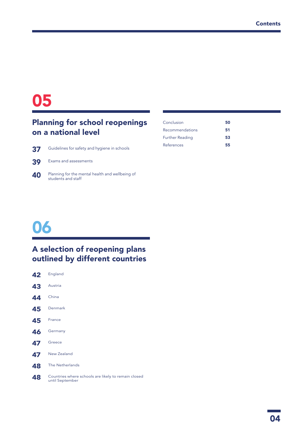### 

### Planning for school reopenings on a national level

| Guidelines for safety and hygiene in schools |
|----------------------------------------------|
|                                              |

| 39 |  |  | Exams and assessments |
|----|--|--|-----------------------|
|----|--|--|-----------------------|

Planning for the mental health and wellbeing of students and staff

| 50 |
|----|
| 51 |
| 53 |
| 55 |
|    |

### 

### A selection of reopening plans outlined by different countries

| 42 | England                                                                |
|----|------------------------------------------------------------------------|
| 43 | Austria                                                                |
| 44 | China                                                                  |
| 45 | Denmark                                                                |
| 45 | France                                                                 |
| 46 | Germany                                                                |
| 47 | Greece                                                                 |
| 47 | New Zealand                                                            |
| 48 | The Netherlands                                                        |
| 48 | Countries where schools are likely to remain closed<br>until September |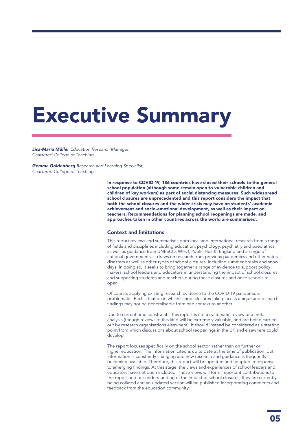## Executive Summary

*Lisa-Maria Müller Education Research Manager, Chartered College of Teaching*

*Gemma Goldenberg Research and Learning Specialist, Chartered College of Teaching*

> In response to COVID-19, 186 countries have closed their schools to the general school population (although some remain open to vulnerable children and children of key workers) as part of social distancing measures. Such widespread school closures are unprecedented and this report considers the impact that both the school closures and the wider crisis may have on students' academic achievement and socio-emotional development, as well as their impact on teachers. Recommendations for planning school reopenings are made, and approaches taken in other countries across the world are summarised.

### Context and limitations

This report reviews and summarises both local and international research from a range of fields and disciplines including education, psychology, psychiatry and paediatrics, as well as guidance from UNESCO, WHO, Public Health England and a range of national governments. It draws on research from previous pandemics and other natural disasters as well as other types of school closures, including summer breaks and snow days. In doing so, it seeks to bring together a range of evidence to support policy makers, school leaders and educators in understanding the impact of school closures, and supporting students and teachers during these closures and once schools reopen.

Of course, applying existing research evidence to the COVID-19 pandemic is problematic. Each situation in which school closures take place is unique and research findings may not be generalisable from one context to another.

Due to current time constraints, this report is not a systematic review or a metaanalysis (though reviews of this kind will be extremely valuable, and are being carried out by research organisations elsewhere). It should instead be considered as a starting point from which discussions about school reopenings in the UK and elsewhere could develop.

The report focuses specifically on the school sector, rather than on further or higher education. The information cited is up to date at the time of publication, but information is constantly changing and new research and guidance is frequently becoming available. Therefore, this report will be updated and adapted in response to emerging findings. At this stage, the views and experiences of school leaders and educators have not been included. These views will form important contributions to the report and our understanding of the impact of school closures; they are currently being collated and an updated version will be published incorporating comments and feedback from the education community.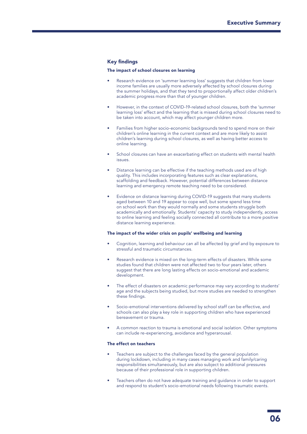### Key findings

### The impact of school closures on learning

- Research evidence on 'summer learning loss' suggests that children from lower income families are usually more adversely affected by school closures during the summer holidays, and that they tend to proportionally affect older children's academic progress more than that of younger children.
- However, in the context of COVID-19-related school closures, both the 'summer learning loss' effect and the learning that is missed during school closures need to be taken into account, which may affect younger children more.
- Families from higher socio-economic backgrounds tend to spend more on their children's online learning in the current context and are more likely to assist children's learning during school closures, as well as having better access to online learning.
- School closures can have an exacerbating effect on students with mental health issues.
- Distance learning can be effective if the teaching methods used are of high quality. This includes incorporating features such as clear explanations, scaffolding and feedback. However, potential differences between distance learning and emergency remote teaching need to be considered.
- Evidence on distance learning during COVID-19 suggests that many students aged between 10 and 19 appear to cope well, but some spend less time on school work than they would normally and some students struggle both academically and emotionally. Students' capacity to study independently, access to online learning and feeling socially connected all contribute to a more positive distance learning experience.

### The impact of the wider crisis on pupils' wellbeing and learning

- Cognition, learning and behaviour can all be affected by grief and by exposure to stressful and traumatic circumstances.
- Research evidence is mixed on the long-term effects of disasters. While some studies found that children were not affected two to four years later, others suggest that there are long lasting effects on socio-emotional and academic development.
- The effect of disasters on academic performance may vary according to students' age and the subjects being studied, but more studies are needed to strengthen these findings.
- Socio-emotional interventions delivered by school staff can be effective, and schools can also play a key role in supporting children who have experienced bereavement or trauma.
- A common reaction to trauma is emotional and social isolation. Other symptoms can include re-experiencing, avoidance and hyperarousal.

### The effect on teachers

- Teachers are subject to the challenges faced by the general population during lockdown, including in many cases managing work and family/caring responsibilities simultaneously, but are also subject to additional pressures because of their professional role in supporting children.
- Teachers often do not have adequate training and guidance in order to support and respond to student's socio-emotional needs following traumatic events.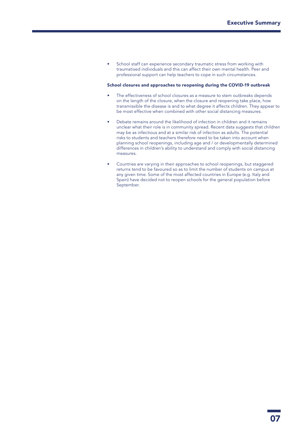• School staff can experience secondary traumatic stress from working with traumatised individuals and this can affect their own mental health. Peer and professional support can help teachers to cope in such circumstances.

#### School closures and approaches to reopening during the COVID-19 outbreak

- The effectiveness of school closures as a measure to stem outbreaks depends on the length of the closure, when the closure and reopening take place, how transmissible the disease is and to what degree it affects children. They appear to be most effective when combined with other social distancing measures.
- Debate remains around the likelihood of infection in children and it remains unclear what their role is in community spread. Recent data suggests that children may be as infectious and at a similar risk of infection as adults. The potential risks to students and teachers therefore need to be taken into account when planning school reopenings, including age and / or developmentally determined differences in children's ability to understand and comply with social distancing measures.
- Countries are varying in their approaches to school reopenings, but staggered returns tend to be favoured so as to limit the number of students on campus at any given time. Some of the most affected countries in Europe (e.g. Italy and Spain) have decided not to reopen schools for the general population before September.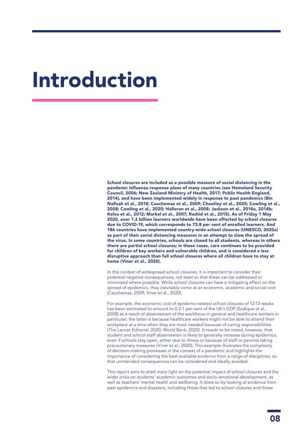## Introduction

School closures are included as a possible measure of social distancing in the pandemic influenza response plans of many countries (see Homeland Security Council, 2006; New Zealand Ministry of Health, 2017; Public Health England, 2014), and have been implemented widely in response to past pandemics (Bin Nafisah et al., 2018; Cauchemaz et al., 2009; Cheatley et al., 2020; Cowling et al., 2008; Cowling et al., 2020; Halloran et al., 2008; Jackson et al., 2014a, 2014b; Kelso et al., 2012; Markel et al., 2007; Rashid et al., 2015). As of Friday 1 May 2020, over 1.2 billion learners worldwide have been affected by school closures due to COVID-19, which corresponds to 73.8 per cent of enrolled learners. And 186 countries have implemented country-wide school closures (UNESCO, 2020a) as part of their social distancing measures in an attempt to slow the spread of the virus. In some countries, schools are closed to all students, whereas in others there are partial school closures; in these cases, care continues to be provided for children of key workers and vulnerable children, and is considered a less disruptive approach than full school closures where all children have to stay at home (Viner et al., 2020).

In this context of widespread school closures, it is important to consider their potential negative consequences, not least so that these can be addressed or minimised where possible. While school closures can have a mitigating effect on the spread of epidemics, they inevitably come at an economic, academic and social cost (Cauchemaz, 2009; Viner et al., 2020).

For example, the economic cost of epidemic-related school closures of 12-13 weeks has been estimated to amount to 0.2-1 per cent of the UK's GDP (Sadique et al., 2008) as a result of absenteeism of the workforce in general and healthcare workers in particular; the latter is because healthcare workers might not be able to attend their workplace at a time when they are most needed because of caring responsibilities (The Lancet Editorial, 2020; World Bank, 2020). It needs to be noted, however, that student and school staff absenteeism is likely to generally increase during epidemics, even if schools stay open, either due to illness or because of staff or parents taking precautionary measures (Viner et al., 2020). This example illustrates the complexity of decision-making processes in the context of a pandemic and highlights the importance of considering the best available evidence from a range of disciplines, so that unintended consequences can be considered and ideally avoided.

This report aims to shed more light on the potential impact of school closures and the wider crisis on students' academic outcomes and socio-emotional development, as well as teachers' mental health and wellbeing. It does so by looking at evidence from past epidemics and disasters, including those that led to school closures and those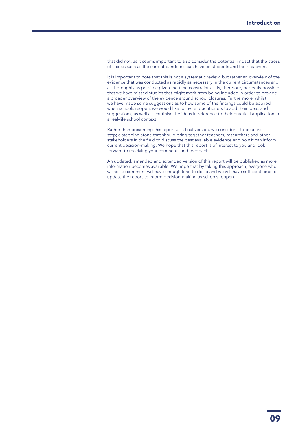that did not, as it seems important to also consider the potential impact that the stress of a crisis such as the current pandemic can have on students and their teachers.

It is important to note that this is not a systematic review, but rather an overview of the evidence that was conducted as rapidly as necessary in the current circumstances and as thoroughly as possible given the time constraints. It is, therefore, perfectly possible that we have missed studies that might merit from being included in order to provide a broader overview of the evidence around school closures. Furthermore, whilst we have made some suggestions as to how some of the findings could be applied when schools reopen, we would like to invite practitioners to add their ideas and suggestions, as well as scrutinise the ideas in reference to their practical application in a real-life school context.

Rather than presenting this report as a final version, we consider it to be a first step; a stepping stone that should bring together teachers, researchers and other stakeholders in the field to discuss the best available evidence and how it can inform current decision-making. We hope that this report is of interest to you and look forward to receiving your comments and feedback.

An updated, amended and extended version of this report will be published as more information becomes available. We hope that by taking this approach, everyone who wishes to comment will have enough time to do so and we will have sufficient time to update the report to inform decision-making as schools reopen.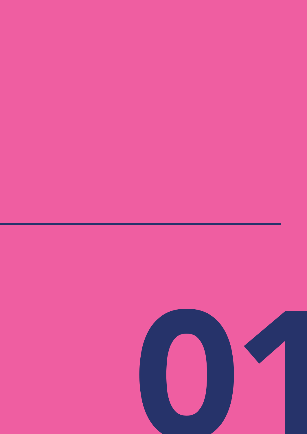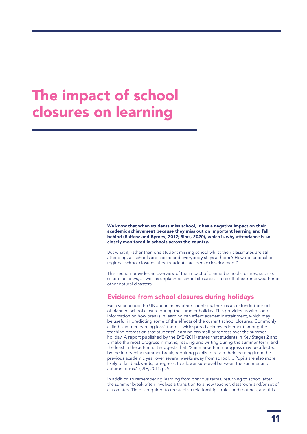### The impact of school closures on learning

We know that when students miss school, it has a negative impact on their academic achievement because they miss out on important learning and fall behind (Balfanz and Byrnes, 2012; Sims, 2020), which is why attendance is so closely monitored in schools across the country.

But what if, rather than one student missing school whilst their classmates are still attending, all schools are closed and everybody stays at home? How do national or regional school closures affect students' academic development?

This section provides an overview of the impact of planned school closures, such as school holidays, as well as unplanned school closures as a result of extreme weather or other natural disasters.

### Evidence from school closures during holidays

Each year across the UK and in many other countries, there is an extended period of planned school closure during the summer holiday. This provides us with some information on how breaks in learning can affect academic attainment, which may be useful in predicting some of the effects of the current school closures. Commonly called 'summer learning loss', there is widespread acknowledgement among the teaching profession that students' learning can stall or regress over the summer holiday. A report published by the DfE (2011) states that students in Key Stages 2 and 3 make the most progress in maths, reading and writing during the summer term, and the least in the autumn. It suggests that: 'Summer-autumn progress may be affected by the intervening summer break, requiring pupils to retain their learning from the previous academic year over several weeks away from school…. Pupils are also more likely to fall backwards, or regress, to a lower sub-level between the summer and autumn terms.' (DfE, 2011, p. 9)

In addition to remembering learning from previous terms, returning to school after the summer break often involves a transition to a new teacher, classroom and/or set of classmates. Time is required to reestablish relationships, rules and routines, and this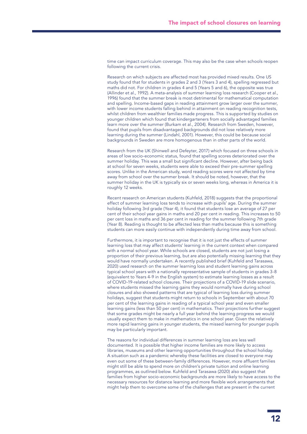time can impact curriculum coverage. This may also be the case when schools reopen following the current crisis.

Research on which subjects are affected most has provided mixed results. One US study found that for students in grades 2 and 3 (Years 3 and 4), spelling regressed but maths did not. For children in grades 4 and 5 (Years 5 and 6), the opposite was true (Allinder et al., 1992). A meta-analysis of summer learning loss research (Cooper et al., 1996) found that the summer break is most detrimental for mathematical computation and spelling. Income-based gaps in reading attainment grow larger over the summer, with lower income students falling behind in attainment on reading recognition tests, whilst children from wealthier families made progress. This is supported by studies on younger children which found that kindergarteners from socially advantaged families learn more over the summer (Burkam et al., 2004). Research from Sweden, however, found that pupils from disadvantaged backgrounds did not lose relatively more learning during the summer (Lindahl, 2001). However, this could be because social backgrounds in Sweden are more homogenous than in other parts of the world.

Research from the UK (Shinwell and Defeyter, 2017) which focused on three schools in areas of low socio-economic status, found that spelling scores deteriorated over the summer holiday. This was a small but significant decline. However, after being back at school for seven weeks, students were able to exceed their pre-summer spelling scores. Unlike in the American study, word reading scores were not affected by time away from school over the summer break. It should be noted, however, that the summer holiday in the UK is typically six or seven weeks long, whereas in America it is roughly 12 weeks.

Recent research on American students (Kuhfeld, 2018) suggests that the proportional effect of summer learning loss tends to increase with pupils' age. During the summer holiday following 3rd grade (Year 4), it found that students lose an average of 27 per cent of their school year gains in maths and 20 per cent in reading. This increases to 50 per cent loss in maths and 36 per cent in reading for the summer following 7th grade (Year 8). Reading is thought to be affected less than maths because this is something students can more easily continue with independently during time away from school.

Furthermore, it is important to recognise that it is not just the effects of summer learning loss that may affect students' learning in the current context when compared with a normal school year. While schools are closed, students are not just losing a proportion of their previous learning, but are also potentially missing learning that they would have normally undertaken. A recently published brief (Kuhfeld and Tarasawa, 2020) used research on the summer learning loss and student learning gains across typical school years with a nationally representative sample of students in grades 3-8 (equivalent to Years 4-9 in the English system) to estimate learning losses as a result of COVID-19-related school closures. Their projections of a COVID-19 slide scenario, where students missed the learning gains they would normally have during school closures and also showed patterns that are typical of learning loss during summer holidays, suggest that students might return to schools in September with about 70 per cent of the learning gains in reading of a typical school year and even smaller learning gains (less than 50 per cent) in mathematics. Their projections further suggest that some grades might be nearly a full year behind the learning progress we would usually expect them to make in mathematics in one school year. Given the relatively more rapid learning gains in younger students, the missed learning for younger pupils may be particularly important.

The reasons for individual differences in summer learning loss are less well documented. It is possible that higher income families are more likely to access libraries, museums and other learning opportunities throughout the school holiday. A situation such as a pandemic whereby these facilities are closed to everyone may even out some of these between-family differences. However, more affluent families might still be able to spend more on children's private tuition and online learning programmes, as outlined below. Kuhfeld and Tarasawa (2020) also suggest that families from higher socio-economic backgrounds are more likely to have access to the necessary resources for distance learning and more flexible work arrangements that might help them to overcome some of the challenges that are present in the current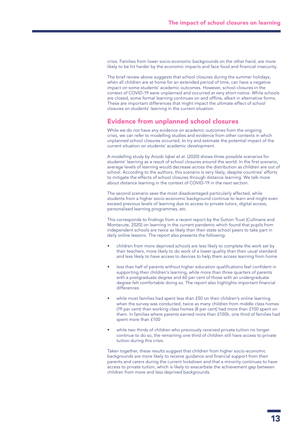crisis. Families from lower socio-economic backgrounds on the other hand, are more likely to be hit harder by the economic impacts and face food and financial insecurity.

The brief review above suggests that school closures during the summer holidays, when all children are at home for an extended period of time, can have a negative impact on some students' academic outcomes. However, school closures in the context of COVID-19 were unplanned and occurred at very short notice. While schools are closed, some formal learning continues on and offline, albeit in alternative forms. These are important differences that might impact the ultimate effect of school closures on students' learning in the current situation.

### Evidence from unplanned school closures

While we do not have any evidence on academic outcomes from the ongoing crisis, we can refer to modelling studies and evidence from other contexts in which unplanned school closures occurred, to try and estimate the potential impact of the current situation on students' academic development.

A modelling study by Aroob Iqbal et al. (2020) shows three possible scenarios for students' learning as a result of school closures around the world. In the first scenario, average levels of learning would decrease across the distribution as children are out of school. According to the authors, this scenario is very likely, despite countries' efforts to mitigate the effects of school closures through distance learning. We talk more about distance learning in the context of COVID-19 in the next section.

The second scenario sees the most disadvantaged particularly affected, while students from a higher socio-economic background continue to learn and might even exceed previous levels of learning due to access to private tutors, digital access, personalised learning programmes, etc.

This corresponds to findings from a recent report by the Sutton Trust (Cullinane and Montacute, 2020) on learning in the current pandemic which found that pupils from independent schools are twice as likely than their state school peers to take part in daily online lessons. The report also presents the following:

- children from more deprived schools are less likely to complete the work set by their teachers, more likely to do work of a lower quality than their usual standard and less likely to have access to devices to help them access learning from home
- less than half of parents without higher education qualifications feel confident in supporting their children's learning, while more than three quarters of parents with a postgraduate degree and 60 per cent of those with an undergraduate degree felt comfortable doing so. The report also highlights important financial differences
- while most families had spent less than £50 on their children's online learning when the survey was conducted, twice as many children from middle class homes (19 per cent) than working class homes (8 per cent) had more than £100 spent on them. In families where parents earned more than £100k, one third of families had spent more than £100
- while two thirds of children who previously received private tuition no longer continue to do so, the remaining one third of children still have access to private tuition during this crisis.

Taken together, these results suggest that children from higher socio-economic backgrounds are more likely to receive guidance and financial support from their parents and carers during the current lockdown and that a minority continues to have access to private tuition, which is likely to exacerbate the achievement gap between children from more and less deprived backgrounds.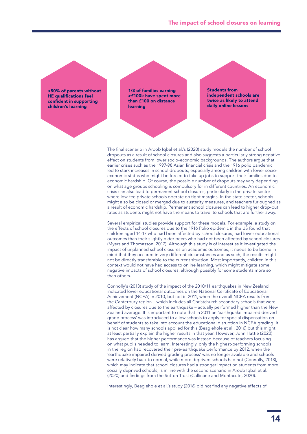

The final scenario in Aroob Iqbal et al.'s (2020) study models the number of school dropouts as a result of school closures and also suggests a particularly strong negative effect on students from lower socio-economic backgrounds. The authors argue that earlier crises such as the 1997-98 Asian financial crisis and the 1916 polio pandemic led to stark increases in school dropouts, especially among children with lower socioeconomic status who might be forced to take up jobs to support their families due to economic hardship. Of course, the possible number of dropouts may vary depending on what age groups schooling is compulsory for in different countries. An economic crisis can also lead to permanent school closures, particularly in the private sector where low-fee private schools operate on tight margins. In the state sector, schools might also be closed or merged due to austerity measures, and teachers furloughed as a result of economic hardship. Permanent school closures can lead to higher drop-out rates as students might not have the means to travel to schools that are further away.

Several empirical studies provide support for these models. For example, a study on the effects of school closures due to the 1916 Polio epidemic in the US found that children aged 14-17 who had been affected by school closures, had lower educational outcomes than their slightly older peers who had not been affected by school closures (Myers and Thomasson, 2017). Although this study is of interest as it investigated the impact of unplanned school closures on academic outcomes, it needs to be borne in mind that they occured in very different circumstances and as such, the results might not be directly transferable to the current situation. Most importantly, children in this context would not have had access to online learning, which might mitigate some negative impacts of school closures, although possibly for some students more so than others.

Connolly's (2013) study of the impact of the 2010/11 earthquakes in New Zealand indicated lower educational outcomes on the National Certificate of Educational Achievement (NCEA) in 2010, but not in 2011, when the overall NCEA results from the Canterbury region – which includes all Christchurch secondary schools that were affected by closures due to the earthquake – actually performed higher than the New Zealand average. It is important to note that in 2011 an 'earthquake impaired derived grade process' was introduced to allow schools to apply for special dispensation on behalf of students to take into account the educational disruption in NCEA grading. It is not clear how many schools applied for this (Beaglehole et al., 2016) but this might at least partially explain the higher results in that year. However, John Hattie (2020) has argued that the higher performance was instead because of teachers focusing on what pupils needed to learn. Interestingly, only the highest-performing schools in the region had recovered their pre-earthquake performance by 2012, when the 'earthquake impaired derived grading process' was no longer available and schools were relatively back to normal, while more deprived schools had not (Connolly, 2013), which may indicate that school closures had a stronger impact on students from more socially deprived schools, is in line with the second scenario in Aroob Iqbal et al. (2020) and findings from the Sutton Trust (Cullinane and Montacute, 2020).

Interestingly, Beaglehole et al.'s study (2016) did not find any negative effects of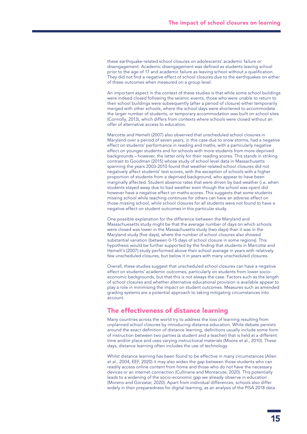these earthquake-related school closures on adolescents' academic failure or disengagement. Academic disengagement was defined as students leaving school prior to the age of 17 and academic failure as leaving school without a qualification. They did not find a negative effect of school closures due to the earthquakes on either of these outcomes when measured on a group level.

An important aspect in the context of these studies is that while some school buildings were indeed closed following the seismic events, those who were unable to return to their school buildings were subsequently (after a period of closure) either temporarily merged with other schools, where the school days were shortened to accommodate the larger number of students, or temporary accommodation was built on school sites (Connolly, 2013), which differs from contexts where schools were closed without an offer of alternative access to education.

Marcotte and Hemelt (2007) also observed that unscheduled school closures in Maryland over a period of seven years, in this case due to snow storms, had a negative effect on students' performance in reading and maths, with a particularly negative effect on younger students and for schools with more students from more deprived backgrounds – however, the latter only for their reading scores. This stands in striking contrast to Goodman (2015) whose study of school level data in Massachusetts spanning the years 2003-2010 found that weather-related school closures did not negatively affect students' test scores, with the exception of schools with a higher proportion of students from a deprived background, who appear to have been marginally affected. Student absence rates that were driven by bad weather (i.e. when students stayed away due to bad weather even though the school was open) did however have a negative effect on maths scores. This suggests that some students missing school while teaching continues for others can have an adverse effect on those missing school, while school closures for all students were not found to have a negative effect on student outcomes in this particular study.

One possible explanation for the difference between the Maryland and Massachuesetts study might be that the average number of days on which schools were closed was lower in the Massachusetts study (two days) than it was in the Maryland study (five days), where the number of school closures also showed substantial variation (between 0-15 days of school closure in some regions). This hypothesis would be further supported by the finding that students in Marcotte and Hemelt's (2007) study performed above their school average in years with relatively few unscheduled closures, but below it in years with many unscheduled closures.

Overall, these studies suggest that unscheduled school closures can have a negative effect on students' academic outcomes, particularly on students from lower socioeconomic backgrounds, but that this is not always the case. Factors such as the length of school closures and whether alternative educational provision is available appear to play a role in minimising the impact on student outcomes. Measures such as amended grading systems are a potential approach to taking mitigating circumstances into account.

### The effectiveness of distance learning

Many countries across the world try to address the loss of learning resulting from unplanned school closures by introducing distance education. While debate persists around the exact definition of distance learning, definitions usually include some form of instruction between two parties (a student and a teacher) that is held at a different time and/or place and uses varying instructional materials (Moore et al., 2010). These days, distance learning often includes the use of technology.

Whilst distance learning has been found to be effective in many circumstances (Allen et al., 2004, EEF, 2020) it may also widen the gap between those students who can readily access online content from home and those who do not have the necessary devices or an internet connection (Cullinane and Montacute, 2020). This potentially leads to a widening of the socio-economic gap we already observe in education (Moreno and Gorzatar, 2020). Apart from individual differences, schools also differ widely in their preparedness for digital learning, as an analysis of the PISA 2018 data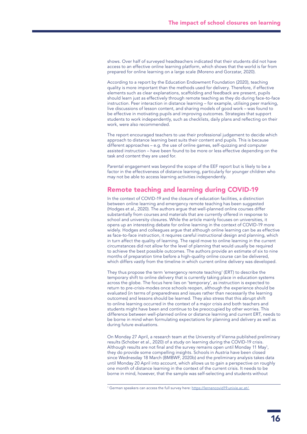shows. Over half of surveyed headteachers indicated that their students did not have access to an effective online learning platform, which shows that the world is far from prepared for online learning on a large scale (Moreno and Gorzatar, 2020).

According to a report by the Education Endowment Foundation (2020), teaching quality is more important than the methods used for delivery. Therefore, if effective elements such as clear explanations, scaffolding and feedback are present, pupils should learn just as effectively through remote teaching as they do during face-to-face instruction. Peer interaction in distance learning – for example, utilising peer marking, live discussions of lesson content, and sharing models of good work – was found to be effective in motivating pupils and improving outcomes. Strategies that support students to work independently, such as checklists, daily plans and reflecting on their work, were also recommended.

The report encouraged teachers to use their professional judgement to decide which approach to distance learning best suits their content and pupils. This is because different approaches – e.g. the use of online games, self-quizzing and computer assisted instruction – have been found to be more or less effective depending on the task and content they are used for.

Parental engagement was beyond the scope of the EEF report but is likely to be a factor in the effectiveness of distance learning, particularly for younger children who may not be able to access learning activities independently.

### Remote teaching and learning during COVID-19

In the context of COVID-19 and the closure of education facilities, a distinction between online learning and emergency remote teaching has been suggested (Hodges et al., 2020). The authors argue that well-planned online courses differ substantially from courses and materials that are currently offered in response to school and university closures. While the article mainly focuses on universities, it opens up an interesting debate for online learning in the context of COVID-19 more widely. Hodges and colleagues argue that although online learning can be as effective as face-to-face instruction, it requires careful instructional design and planning, which in turn affect the quality of learning. The rapid move to online learning in the current circumstances did not allow for the level of planning that would usually be required to achieve the best possible outcomes. The authors provide an estimate of six to nine months of preparation time before a high-quality online course can be delivered, which differs vastly from the timeline in which current online delivery was developed.

They thus propose the term 'emergency remote teaching' (ERT) to describe the temporary shift to online delivery that is currently taking place in education systems across the globe. The focus here lies on 'temporary', as instruction is expected to return to pre-crisis-modes once schools reopen, although the experience should be evaluated (in terms of preparedness and issues rather than necessarily the learning outcomes) and lessons should be learned. They also stress that this abrupt shift to online learning occurred in the context of a major crisis and both teachers and students might have been and continue to be preoccupied by other worries. This difference between well-planned online or distance learning and current ERT, needs to be borne in mind when formulating expectations for planning and delivery as well as during future evaluations.

On Monday 27 April, a research team at the University of Vienna published preliminary results (Schober et al., 2020) of a study on learning during the COVID-19 crisis. Although results are not final and the survey remains open until Monday 11 May<sup>1</sup>, they do provide some compelling insights. Schools in Austria have been closed since Wednesday 18 March (BMBWF, 2020b) and the preliminary analysis takes data until Monday 20 April into account, which allows us to gain a perspective on roughly one month of distance learning in the context of the current crisis. It needs to be borne in mind, however, that the sample was self-selecting and students without

<sup>&</sup>lt;sup>1</sup> German speakers can access the full survey here: [https://lernencovid19.univie.ac.at/.](https://lernencovid19.univie.ac.at/)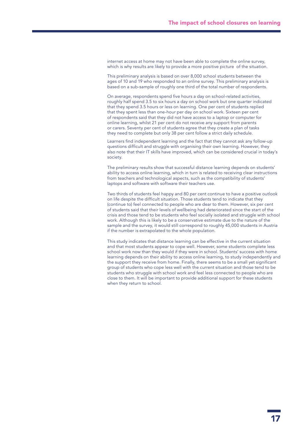internet access at home may not have been able to complete the online survey, which is why results are likely to provide a more positive picture of the situation.

This preliminary analysis is based on over 8,000 school students between the ages of 10 and 19 who responded to an online survey. This preliminary analysis is based on a sub-sample of roughly one third of the total number of respondents.

On average, respondents spend five hours a day on school-related activities, roughly half spend 3.5 to six hours a day on school work but one quarter indicated that they spend 3.5 hours or less on learning. One per cent of students replied that they spent less than one-hour per day on school work. Sixteen per cent of respondents said that they did not have access to a laptop or computer for online learning, whilst 21 per cent do not receive any support from parents or carers. Seventy per cent of students agree that they create a plan of tasks they need to complete but only 38 per cent follow a strict daily schedule.

Learners find independent learning and the fact that they cannot ask any follow-up questions difficult and struggle with organising their own learning. However, they also note that their IT skills have improved, which can be considered crucial in today's society.

The preliminary results show that successful distance learning depends on students' ability to access online learning, which in turn is related to receiving clear instructions from teachers and technological aspects, such as the compatibility of students' laptops and software with software their teachers use.

Two thirds of students feel happy and 80 per cent continue to have a positive outlook on life despite the difficult situation. Those students tend to indicate that they (continue to) feel connected to people who are dear to them. However, six per cent of students said that their levels of wellbeing had deteriorated since the start of the crisis and those tend to be students who feel socially isolated and struggle with school work. Although this is likely to be a conservative estimate due to the nature of the sample and the survey, it would still correspond to roughly 45,000 students in Austria if the number is extrapolated to the whole population.

This study indicates that distance learning can be effective in the current situation and that most students appear to cope well. However, some students complete less school work now than they would if they were in school. Students' success with home learning depends on their ability to access online learning, to study independently and the support they receive from home. Finally, there seems to be a small yet significant group of students who cope less well with the current situation and those tend to be students who struggle with school work and feel less connected to people who are close to them. It will be important to provide additional support for these students when they return to school.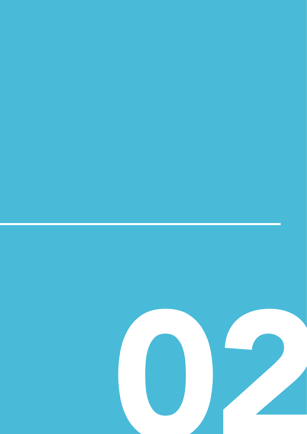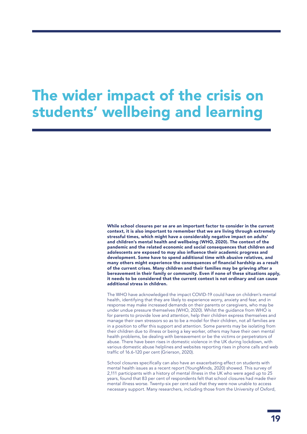### The wider impact of the crisis on students' wellbeing and learning

While school closures per se are an important factor to consider in the current context, it is also important to remember that we are living through extremely stressful times, which might have a considerably negative impact on adults' and children's mental health and wellbeing (WHO, 2020). The context of the pandemic and the related economic and social consequences that children and adolescents are exposed to may also influence their academic progress and development. Some have to spend additional time with abusive relatives, and many others might experience the consequences of financial hardship as a result of the current crises. Many children and their families may be grieving after a bereavement in their family or community. Even if none of these situations apply, it needs to be considered that the current context is not ordinary and can cause additional stress in children.

The WHO have acknowledged the impact COVID-19 could have on children's mental health, identifying that they are likely to experience worry, anxiety and fear, and in response may make increased demands on their parents or caregivers, who may be under undue pressure themselves (WHO, 2020). Whilst the guidance from WHO is for parents to provide love and attention, help their children express themselves and manage their own stressors so as to be a model for their children, not all families are in a position to offer this support and attention. Some parents may be isolating from their children due to illness or being a key worker, others may have their own mental health problems, be dealing with bereavement or be the victims or perpetrators of abuse. There have been rises in domestic violence in the UK during lockdown, with various domestic abuse helplines and websites reporting rises in phone calls and web traffic of 16.6-120 per cent (Grierson, 2020).

School closures specifically can also have an exacerbating effect on students with mental health issues as a recent report (YoungMinds, 2020) showed. This survey of 2,111 participants with a history of mental illness in the UK who were aged up to 25 years, found that 83 per cent of respondents felt that school closures had made their mental illness worse. Twenty-six per cent said that they were now unable to access necessary support. Many researchers, including those from the University of Oxford,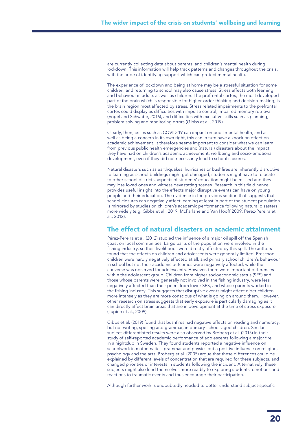are currently collecting data about parents' and children's mental health during lockdown. This information will help track patterns and changes throughout the crisis, with the hope of identifying support which can protect mental health.

The experience of lockdown and being at home may be a stressful situation for some children, and returning to school may also cause stress. Stress affects both learning and behaviour in adults as well as children. The prefrontal cortex, the most developed part of the brain which is responsible for higher-order thinking and decision-making, is the brain region most affected by stress. Stress related impairments to the prefrontal cortex could display as difficulties with impulse control, impaired memory retrieval (Vogel and Schwabe, 2016), and difficulties with executive skills such as planning, problem solving and monitoring errors (Gibbs et al., 2019).

Clearly, then, crises such as COVID-19 can impact on pupil mental health, and as well as being a concern in its own right, this can in turn have a knock on effect on academic achievement. It therefore seems important to consider what we can learn from previous public health emergencies and (natural) disasters about the impact they have had on children's academic achievement, wellbeing and socio-emotional development, even if they did not necessarily lead to school closures.

Natural disasters such as earthquakes, hurricanes or bushfires are inherently disruptive to learning as school buildings might get damaged, students might have to relocate to other school districts, aspects of students' education might be missed and they may lose loved ones and witness devastating scenes. Research in this field hence provides useful insight into the effects major disruptive events can have on young people and their education. The evidence in the previous section that suggests that school closures can negatively affect learning at least in part of the student population is mirrored by studies on children's academic performance following natural disasters more widely (e.g. Gibbs et al., 2019; McFarlane and Van Hooff 2009; Pérez-Pereira et al., 2012).

### The effect of natural disasters on academic attainment

Pérez-Pereira et al. (2012) studied the influence of a major oil spill off the Spanish coast on local communities. Large parts of the population were involved in the fishing industry, so their livelihoods were directly affected by this spill. The authors found that the effects on children and adolescents were generally limited. Preschool children were hardly negatively affected at all, and primary school children's behaviour in school but not their academic outcomes were negatively affected, while the converse was observed for adolescents. However, there were important differences within the adolescent group. Children from higher socioeconomic status (SES) and those whose parents were generally not involved in the fishing industry, were less negatively affected than their peers from lower SES, and whose parents worked in the fishing industry. This suggests that disruptive events might affect older children more intensely as they are more conscious of what is going on around them. However, other research on stress suggests that early exposure is particularly damaging as it can directly affect brain areas that are in development at the time of stress exposure (Lupien et al., 2009).

Gibbs et al. (2019) found that bushfires had negative effects on reading and numeracy, but not writing, spelling and grammar, in primary-school-aged children. Similar subject-differentiated results were also observed by Broberg et al. (2015) in their study of self-reported academic performance of adolescents following a major fire in a nightclub in Sweden. They found students reported a negative influence on schoolwork in mathematics, grammar and physics but a positive influence on religion, psychology and the arts. Broberg et al. (2005) argue that these differences could be explained by different levels of concentration that are required for these subjects, and changed priorities or interests in students following the incident. Alternatively, these subjects might also lend themselves more readily to exploring students' emotions and reactions to traumatic events and thus encourage their participation.

Although further work is undoubtedly needed to better understand subject-specific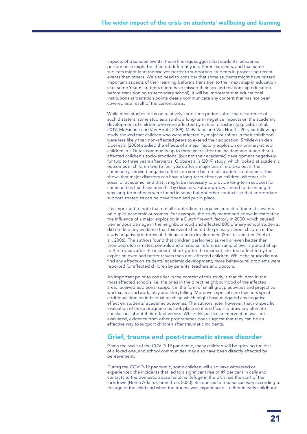impacts of traumatic events, these findings suggest that students' academic performance might be affected differently in different subjects, and that some subjects might lend themselves better to supporting students in processing recent events than others. We also need to consider that some students might have missed important aspects of their learning before a transition to their next step in education (e.g. some Year 6 students might have missed their sex and relationship education before transitioning to secondary school). It will be important that educational institutions at transition points clearly communicate any content that has not been covered as a result of the current crisis.

While most studies focus on relatively short time periods after the occurrence of such disasters, some studies also show long-term negative impacts on the academic development of children who were affected by natural disasters (e.g. Gibbs et al., 2019; McFarlane and Van Hooff, 2009). McFarlane and Van Hooff's 20-year follow-up study showed that children who were affected by major bushfires in their childhood were less likely than non-affected peers to extend their education. Smilde-van den Doel et al (2006) studied the effects of a major factory explosion on primary-school children in a Dutch community up to three years after the incident and found that it affected children's socio-emotional (but not their academic) development negatively for two to three years afterwards. Gibbs et al.'s (2019) study, which looked at academic outcomes in children two to four years after a major bushfire broke out in their community, showed negative effects on some but not all academic outcomes. This shows that major disasters can have a long-term effect on children, whether it is social or academic, and that it might be necessary to provide long-term support for communities that have been hit by disasters. Future work will need to disentangle why long-term effects were found in some but not other contexts so that appropriate support strategies can be developed and put in place.

It is important to note that not all studies find a negative impact of traumatic events on pupils' academic outcomes. For example, the study mentioned above investigating the influence of a major explosion in a Dutch firework factory in 2000, which caused tremendous damage in the neighbourhood and affected 800 primary school students, did not find any evidence that this event affected the primary school children in their study negatively in terms of their academic development (Smilde-van den Doel et al., 2006). The authors found that children performed as well or even better than their peers (classmates, controls and a national reference sample) over a period of up to three years after the incident. Shortly after the incident, children affected by the explosion even had better results than non-affected children. While the study did not find any effects on students' academic development, more behavioural problems were reported for affected children by parents, teachers and doctors.

An important point to consider in the context of this study is that children in the most affected schools, i.e. the ones in the direct neighbourhood of the affected area, received additional support in the form of small group activities and projective work such as artwork, play and storytelling. Moreover, special care teachers spent additional time on individual teaching which might have mitigated any negative effect on students' academic outcomes. The authors note, however, that no specific evaluation of these programmes took place so it is difficult to draw any ultimate conclusions about their effectiveness. While this particular intervention was not evaluated, evidence from other programmes does suggest that they can be an effective way to support children after traumatic incidents.

### Grief, trauma and post-traumatic stress disorder

Given the scale of the COVID-19 pandemic, many children will be grieving the loss of a loved one, and school communities may also have been directly affected by bereavement.

During the COVID-19 pandemic, some children will also have witnessed or experienced the incidents that led to a significant rise of 49 per cent in calls and contacts to the domestic abuse helpline Refuge in the UK since the start of the lockdown (Home Affairs Committee, 2020). Responses to trauma can vary according to the age of the child and when the trauma was experienced – either in early childhood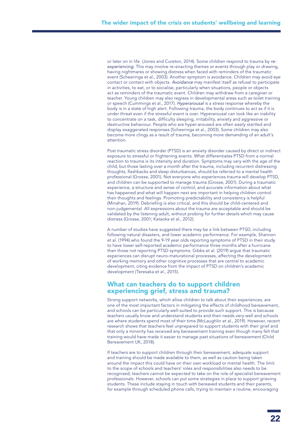or later on in life (Jones and Cureton, 2014). Some children respond to trauma by *reexperiencing*. This may involve re-enacting themes or events through play or drawing, having nightmares or showing distress when faced with reminders of the traumatic event (Scheeringa et al., 2003). Another symptom is avoidance. Children may avoid eye contact or contact with objects. *Avoidance* may manifest itself as refusal to participate in activities, to eat, or to socialise, particularly when situations, people or objects act as reminders of the traumatic event. Children may withdraw from a caregiver or teacher. Young children may also regress in developmental areas such as toilet training or speech (Cummings et al., 2017). *Hyperarousal* is a stress response whereby the body is in a state of high alert. Following trauma, the body continues to act as if it is under threat even if the stressful event is over. Hyperarousal can look like an inability to concentrate on a task, difficulty sleeping, irritability, anxiety and aggressive or destructive behaviour. People who are hyper-aroused are often easily startled and display exaggerated responses (Scheeringa et al., 2003). Some children may also become more clingy as a result of trauma, becoming more demanding of an adult's attention.

Post traumatic stress disorder (PTSD) is an anxiety disorder caused by direct or indirect exposure to stressful or frightening events. What differentiates PTSD from a normal reaction to trauma is its intensity and duration. Symptoms may vary with the age of the child, but those lasting over a month after the trauma, including recurrent distressing thoughts, flashbacks and sleep disturbances, should be referred to a mental health professional (Grosse, 2001). Not everyone who experiences trauma will develop PTSD, and children can be supported to manage trauma (Grosse, 2001). During a traumatic experience, a structure and sense of control, and accurate information about what has happened and what will happen next are important in helping children control their thoughts and feelings. Promoting predictability and consistency is helpful (Minahan, 2019). Debriefing is also critical, and this should be child-centered and non-judgemental. All expressions about the trauma are acceptable and should be validated by the listening adult, without probing for further details which may cause distress (Grosse, 2001; Kataoka et al., 2012).

A number of studies have suggested there may be a link between PTSD, including following natural disasters, and lower academic performance. For example, Shannon et al. (1994) who found the 9-19 year olds reporting symptoms of PTSD in their study to have lower self-reported academic performance three months after a hurricane than those not reporting PTSD symptoms. Gibbs et al. (2019) argue that traumatic experiences can disrupt neuro-maturational processes, affecting the development of working memory and other cognitive processes that are central to academic development, citing evidence from the impact of PTSD on children's academic development (Teresaka et al., 2015).

### What can teachers do to support children experiencing grief, stress and trauma?

Strong support networks, which allow children to talk about their experiences, are one of the most important factors in mitigating the effects of childhood bereavement, and schools can be particularly well-suited to provide such support. This is because teachers usually know and understand students and their needs very well and schools are where students spend most of their time (McLaughlin et al., 2019). However, recent research shows that teachers feel unprepared to support students with their grief and that only a minority has received any bereavement training even though many felt that training would have made it easier to manage past situations of bereavement (Child Bereavement UK, 2018).

If teachers are to support children through their bereavement, adequate support and training should be made available to them, as well as caution being taken around the impact this could have on their own workload or mental health. The limit to the scope of schools and teachers' roles and responsibilities also needs to be recognised; teachers cannot be expected to take on the role of specialist bereavement professionals. However, schools can put some strategies in place to support grieving students. These include staying in touch with bereaved students and their parents, for example through scheduled phone calls, trying to maintain a routine, encouraging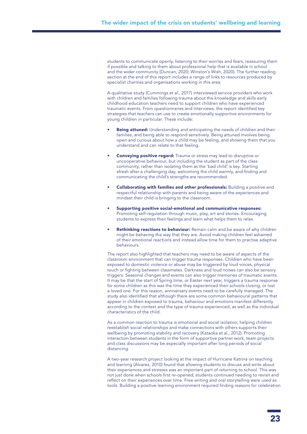students to communicate openly, listening to their worries and fears, reassuring them if possible and talking to them about professional help that is available in school and the wider community (Duncan, 2020; Winston's Wish, 2020). The further reading section at the end of this report includes a range of links to resources produced by specialist charities and organisations working in this area.

A qualitative study (Cummings et al., 2017) interviewed service providers who work with children and families following trauma about the knowledge and skills early childhood education teachers need to support children who have experienced traumatic events. From questionnaires and interviews, the report identified key strategies that teachers can use to create emotionally supportive environments for young children in particular. These include:

- Being attuned: Understanding and anticipating the needs of children and their families, and being able to respond sensitively. Being attuned involves being open and curious about how a child may be feeling, and showing them that you understand and can relate to that feeling.
- **Conveying positive regard:** Trauma or stress may lead to disruptive or uncooperative behaviour, but including the student as part of the class community, rather than isolating them as the 'bad child' is key. Starting afresh after a challenging day, welcoming the child warmly, and finding and communicating the child's strengths are recommended.
- Collaborating with families and other professionals: Building a positive and respectful relationship with parents and being aware of the experiences and mindset their child is bringing to the classroom.
- Supporting positive social-emotional and communicative responses: Promoting self-regulation through music, play, art and stories. Encouraging students to express their feelings and learn what helps them to relax.
- Rethinking reactions to behaviour: Remain calm and be aware of why children might be behaving the way that they are. Avoid making children feel ashamed of their emotional reactions and instead allow time for them to practise adaptive behaviours.

The report also highlighted that teachers may need to be aware of aspects of the classroom environment that can trigger trauma responses. Children who have been exposed to domestic violence or abuse may be triggered by loud voices, physical touch or fighting between classmates. Darkness and loud noises can also be sensory triggers. Seasonal changes and events can also trigger memories of traumatic events. It may be that the start of Spring time, or Easter next year, triggers a trauma response for some children as this was the time they experienced their schools closing, or lost a loved one. For this reason, anniversary events need to be carefully managed. The study also identified that although there are some common behavioural patterns that appear in children exposed to trauma, behaviour and emotions manifest differently according to the context and the type of trauma experienced, as well as the individual characteristics of the child.

As a common reaction to trauma is emotional and social isolation, helping children reestablish social relationships and make connections with others supports their wellbeing by promoting stability and recovery (Kataoka et al., 2012). Promoting interaction between students in the form of supportive partner work, team projects and class discussions may be especially important after long periods of social distancing.

A two-year research project looking at the impact of Hurricane Katrina on teaching and learning (Alvarez, 2010) found that allowing students to discuss and write about their experiences and stresses was an important part of returning to school. This was not just done when schools first re-opened; students continued needing to revisit and reflect on their experiences over time. Free writing and oral storytelling were used as tools. Building a positive learning environment required finding reasons for celebration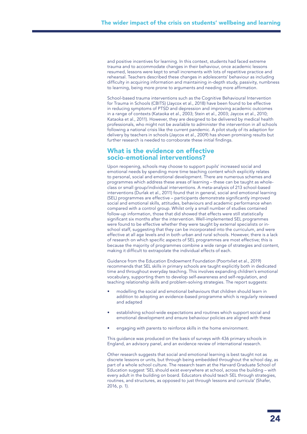and positive incentives for learning. In this context, students had faced extreme trauma and to accommodate changes in their behaviour, once academic lessons resumed, lessons were kept to small increments with lots of repetitive practice and rehearsal. Teachers described these changes in adolescents' behaviour as including difficulty in acquiring information and maintaining in-depth study, passivity, numbness to learning, being more prone to arguments and needing more affirmation.

School-based trauma interventions such as the Cognitive Behavioural Intervention for Trauma in Schools (CBITS) (Jaycox et al., 2018) have been found to be effective in reducing symptoms of PTSD and depression and improving academic outcomes in a range of contexts (Kataoka et al., 2003; Stein et al., 2003; Jaycox et al., 2010; Kataoka et al., 2011). However, they are designed to be delivered by medical health professionals, who might not be available to administer the intervention in all schools following a national crisis like the current pandemic. A pilot study of its adaption for delivery by teachers in schools (Jaycox et al., 2009) has shown promising results but further research is needed to corroborate these initial findings.

### What is the evidence on effective socio-emotional interventions?

Upon reopening, schools may choose to support pupils' increased social and emotional needs by spending more time teaching content which explicitly relates to personal, social and emotional development. There are numerous schemes and programmes which address these areas of learning – these can be taught as wholeclass or small group/individual interventions. A meta-analysis of 213 school-based interventions (Durlak et al., 2011) found that in general, social and emotional learning (SEL) programmes are effective – participants demonstrate significantly improved social and emotional skills, attitudes, behaviours and academic performance when compared with a control group. Whilst only a small number of studies contained follow-up information, those that did showed that effects were still statistically significant six months after the intervention. Well-implemented SEL programmes were found to be effective whether they were taught by external specialists or inschool staff, suggesting that they can be incorporated into the curriculum, and were effective at all age levels and in both urban and rural schools. However, there is a lack of research on which specific aspects of SEL programmes are most effective; this is because the majority of programmes combine a wide range of strategies and content, making it difficult to extrapolate the individual effects of each.

Guidance from the Education Endowment Foundation (Poortvliet et al., 2019) recommends that SEL skills in primary schools are taught explicitly both in dedicated time and throughout everyday teaching. This involves expanding children's emotional vocabulary, supporting them to develop self-awareness and self-regulation, and teaching relationship skills and problem-solving strategies. The report suggests:

- modelling the social and emotional behaviours that children should learn in addition to adopting an evidence-based programme which is regularly reviewed and adapted
- establishing school-wide expectations and routines which support social and emotional development and ensure behaviour policies are aligned with these
- engaging with parents to reinforce skills in the home environment.

This guidance was produced on the basis of surveys with 436 primary schools in England, an advisory panel, and an evidence review of international research.

Other research suggests that social and emotional learning is best taught not as discrete lessons or units, but through being embedded throughout the school day, as part of a whole school culture. The research team at the Harvard Graduate School of Education suggest 'SEL should exist everywhere at school, across the building – with every adult in the building on board. Educators should teach SEL through strategies, routines, and structures, as opposed to just through lessons and curricula' (Shafer, 2016, p. 1).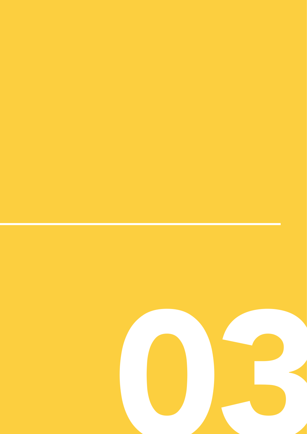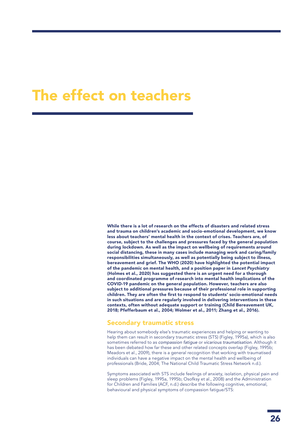### The effect on teachers

While there is a lot of research on the effects of disasters and related stress and trauma on children's academic and socio-emotional development, we know less about teachers' mental health in the context of crises. Teachers are, of course, subject to the challenges and pressures faced by the general population during lockdown. As well as the impact on wellbeing of requirements around social distancing, these in many cases include managing work and caring/family responsibilities simultaneously, as well as potentially being subject to illness, bereavement and grief. The WHO (2020) have highlighted the potential impact of the pandemic on mental health, and a position paper in *Lancet Psychiatry* (Holmes et al., 2020) has suggested there is an urgent need for a thorough and coordinated programme of research into mental health implications of the COVID-19 pandemic on the general population. However, teachers are also subject to additional pressures because of their professional role in supporting children. They are often the first to respond to students' socio-emotional needs in such situations and are regularly involved in delivering interventions in these contexts, often without adequate support or training (Child Bereavement UK, 2018; Pfefferbaum et al., 2004; Wolmer et al., 2011; Zhang et al., 2016).

### Secondary traumatic stress

Hearing about somebody else's traumatic experiences and helping or wanting to help them can result in secondary traumatic stress (STS) (Figley, 1995a), which is also sometimes referred to as *compassion fatigue* or *vicarious traumatisation*. Although it has been debated how far these and other related concepts overlap (Figley, 1995b; Meadors et al., 2009), there is a general recognition that working with traumatised individuals can have a negative impact on the mental health and wellbeing of professionals (Bride, 2004; The National Child Traumatic Stress Network n.d.).

Symptoms associated with STS include feelings of anxiety, isolation, physical pain and sleep problems (Figley, 1995a, 1995b; Osofksy et al., 2008) and the Administration for Children and Families (ACF, n.d.) describe the following cognitive, emotional, behavioural and physical symptoms of compassion fatigue/STS: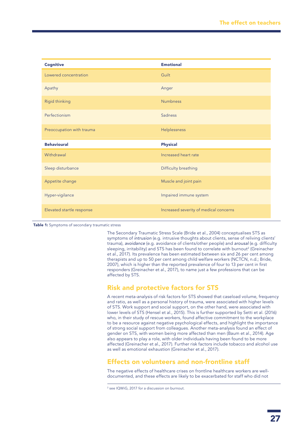| <b>Cognitive</b>          | <b>Emotional</b>       |
|---------------------------|------------------------|
| Lowered concentration     | Guilt                  |
| Apathy                    | Anger                  |
| <b>Rigid thinking</b>     | <b>Numbness</b>        |
| Perfectionism             | <b>Sadness</b>         |
| Preoccupation with trauma | Helplessness           |
|                           |                        |
| <b>Behavioural</b>        | <b>Physical</b>        |
| Withdrawal                | Increased heart rate   |
| Sleep disturbance         | Difficulty breathing   |
| Appetite change           | Muscle and joint pain  |
| Hyper-vigilance           | Impaired immune system |

Table 1: Symptoms of secondary traumatic stress

The Secondary Traumatic Stress Scale (Bride et al., 2004) conceptualises STS as symptoms of *intrusion* (e.g. intrusive thoughts about clients, sense of reliving clients' trauma), *avoidance* (e.g. avoidance of clients/other people) and *arousal* (e.g. difficulty sleeping, irritability) and STS has been found to correlate with burnout<sup>2</sup> (Greinacher et al., 2017). Its prevalence has been estimated between six and 26 per cent among therapists and up to 50 per cent among child welfare workers (NCTCN, n.d.; Bride, 2007), which is higher than the reported prevalence of four to 13 per cent in first responders (Greinacher et al., 2017), to name just a few professions that can be affected by STS.

### Risk and protective factors for STS

A recent meta-analysis of risk factors for STS showed that caseload volume, frequency and ratio, as well as a personal history of trauma, were associated with higher levels of STS. Work support and social support, on the other hand, were associated with lower levels of STS (Hensel et al., 2015). This is further supported by Setti et al. (2016) who, in their study of rescue workers, found affective commitment to the workplace to be a resource against negative psychological effects, and highlight the importance of strong social support from colleagues. Another meta-analysis found an effect of gender on STS, with women being more affected than men (Baum et al., 2014). Age also appears to play a role, with older individuals having been found to be more affected (Greinacher et al., 2017). Further risk factors include tobacco and alcohol use as well as emotional exhaustion (Greinacher et al., 2017).

### Effects on volunteers and non-frontline staff

The negative effects of healthcare crises on frontline healthcare workers are welldocumented, and these effects are likely to be exacerbated for staff who did not

<sup>2</sup> see IQWiG, 2017 for a discussion on burnout.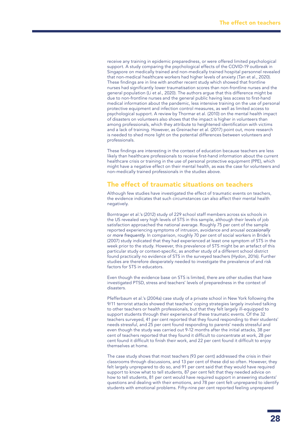receive any training in epidemic preparedness, or were offered limited psychological support. A study comparing the psychological effects of the COVID-19 outbreak in Singapore on medically trained and non-medically trained hospital personnel revealed that non-medical healthcare workers had higher levels of anxiety (Tan et al., 2020). These findings are in line with another recent study which showed that frontline nurses had significantly lower traumatisation scores than non-frontline nurses and the general population (Li et al., 2020). The authors argue that this difference might be due to non-frontline nurses and the general public having less access to first-hand medical information about the pandemic, less intensive training on the use of personal protective equipment and infection control measures, as well as limited access to psychological support. A review by Thormar et al. (2010) on the mental health impact of disasters on volunteers also shows that the impact is higher in volunteers than among professionals, which they attribute to heightened identification with victims and a lack of training. However, as Greinacher et al. (2017) point out, more research is needed to shed more light on the potential differences between volunteers and professionals.

These findings are interesting in the context of education because teachers are less likely than healthcare professionals to receive first-hand information about the current healthcare crisis or training in the use of personal protective equipment (PPE), which might have a negative effect on their mental health, as was the case for volunteers and non-medically trained professionals in the studies above.

### The effect of traumatic situations on teachers

Although few studies have investigated the effect of traumatic events on teachers, the evidence indicates that such circumstances can also affect their mental health negatively.

Borntrager et al.'s (2012) study of 229 school staff members across six schools in the US revealed very high levels of STS in this sample, although their levels of job satisfaction approached the national average. Roughly 75 per cent of the sample reported experiencing symptoms of intrusion, avoidance and arousal *occasionally* or *more frequently*. In comparison, roughly 70 per cent of social workers in Bride's (2007) study indicated that they had experienced at least one symptom of STS in the week prior to the study. However, this prevalence of STS might be an artefact of this particular study or context-specific, as another study of a different school district found practically no evidence of STS in the surveyed teachers (Hydon, 2016). Further studies are therefore desperately needed to investigate the prevalence of and risk factors for STS in educators.

Even though the evidence base on STS is limited, there are other studies that have investigated PTSD, stress and teachers' levels of preparedness in the context of disasters.

Pfefferbaum et al.'s (2004a) case study of a private school in New York following the 9/11 terrorist attacks showed that teachers' coping strategies largely involved talking to other teachers or health professionals, but that they felt largely ill-equipped to support students through their experience of these traumatic events. Of the 32 teachers surveyed, 41 per cent reported that they found responding to their students' needs stressful, and 25 per cent found responding to parents' needs stressful and even though the study was carried out 9-12 months after the initial attacks, 38 per cent of teachers reported that they found it difficult to concentrate at work, 28 per cent found it difficult to finish their work, and 22 per cent found it difficult to enjoy themselves at home.

The case study shows that most teachers (93 per cent) addressed the crisis in their classrooms through discussions, and 13 per cent of these did so often. However, they felt largely unprepared to do so, and 91 per cent said that they would have required support to know what to tell students, 87 per cent felt that they needed advice on how to tell students, 81 per cent would have required support in answering students' questions and dealing with their emotions, and 78 per cent felt unprepared to identify students with emotional problems. Fifty-nine per cent reported feeling unprepared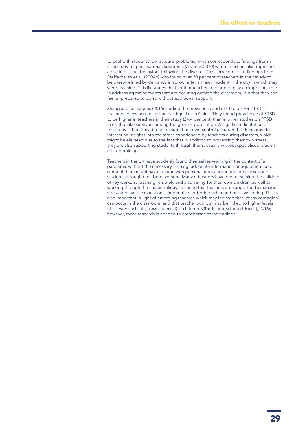to deal with students' behavioural problems, which corresponds to findings from a case study on post-Katrina classrooms (Alvarez, 2010) where teachers also reported a rise in difficult behaviour following the disaster. This corresponds to findings from Pfefferbaum et al. (2004b) who found over 20 per cent of teachers in their study to be overwhelmed by demands in school after a major incident in the city in which they were teaching. This illustrates the fact that teachers do indeed play an important role in addressing major events that are occuring outside the classroom, but that they can feel unprepared to do so without additional support.

Zhang and colleagues (2016) studied the prevalence and risk factors for PTSD in teachers following the Lushan earthquakes in China. They found prevalence of PTSD to be higher in teachers in their study (24.4 per cent) than in other studies on PTSD in earthquake survivors among the general population. A significant limitation of this study is that they did not include their own control group. But it does provide interesting insights into the stress experienced by teachers during disasters, which might be elevated due to the fact that in addition to processing their own stress, they are also supporting students through theirs, usually without specialised, traumarelated training.

Teachers in the UK have suddenly found themselves working in the context of a pandemic without the necessary training, adequate information or equipment, and some of them might have to cope with personal grief and/or additionally support students through their bereavement. Many educators have been teaching the children of key workers, teaching remotely and also caring for their own children, as well as working through the Easter holiday. Ensuring that teachers are supported to manage stress and avoid exhaustion is imperative for both teacher and pupil wellbeing. This is also important in light of emerging research which may indicate that 'stress contagion' can occur in the classroom, and that teacher burnout may be linked to higher levels of salivary cortisol (stress chemical) in children (Oberle and Schonert-Reichl, 2016); however, more research is needed to corroborate these findings.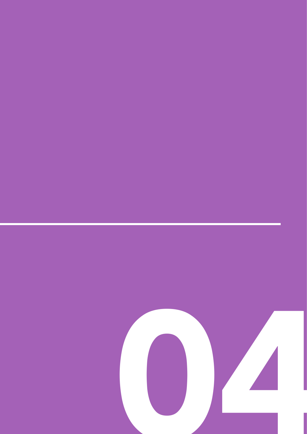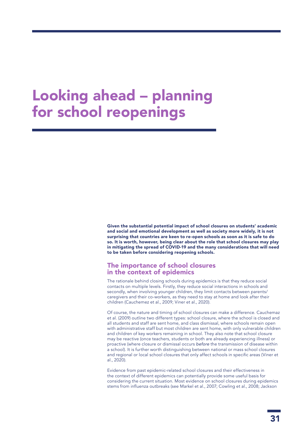### Looking ahead – planning for school reopenings

Given the substantial potential impact of school closures on students' academic and social and emotional development as well as society more widely, it is not surprising that countries are keen to re-open schools as soon as it is safe to do so. It is worth, however, being clear about the role that school closures may play in mitigating the spread of COVID-19 and the many considerations that will need to be taken before considering reopening schools.

### The importance of school closures in the context of epidemics

The rationale behind closing schools during epidemics is that they reduce social contacts on multiple levels. Firstly, they reduce social interactions in schools and secondly, when involving younger children, they limit contacts between parents/ caregivers and their co-workers, as they need to stay at home and look after their children (Cauchemez et al., 2009; Viner et al., 2020).

Of course, the nature and timing of school closures can make a difference. Cauchemaz et al. (2009) outline two different types: school closure, where the school is closed and all students and staff are sent home, and class dismissal, where schools remain open with administrative staff but most children are sent home, with only vulnerable children and children of key workers remaining in school. They also note that school closure may be reactive (once teachers, students or both are already experiencing illness) or proactive (where closure or dismissal occurs *before* the transmission of disease within a school). It is further worth distinguishing between national or mass school closures and regional or local school closures that only affect schools in specific areas (Viner et al., 2020).

Evidence from past epidemic-related school closures and their effectiveness in the context of different epidemics can potentially provide some useful basis for considering the current situation. Most evidence on school closures during epidemics stems from influenza outbreaks (see Markel et al., 2007; Cowling et al., 2008; Jackson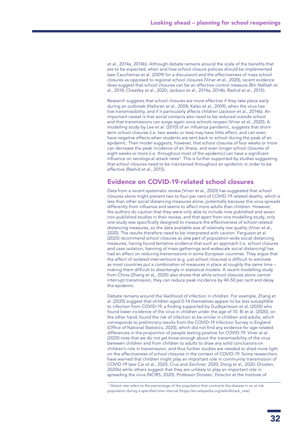et al., 2014a, 2014b). Although debate remains around the scale of the benefits that are to be expected, when and how school closure policies should be implemented (see Cauchemaz et al. (2009) for a discussion) and the effectiveness of mass school closures as opposed to regional school closures (Viner et al., 2020), recent evidence does suggest that school closures can be an effective control measure (Bin Nafisah et al., 2018; Cheatley et al., 2020; Jackson et al., 2014a, 2014b; Rashid et al., 2015).

Research suggests that school closures are more effective if they take place early during an outbreak (Halloran et al., 2008; Kelso et al., 2009), when the virus has low transmissibility, and if it particularly affects children (Jackson et al., 2014b). An important caveat is that social contacts also need to be reduced outside school and that transmissions can surge again once schools reopen (Viner et al., 2020). A modelling study by Lee et al. (2010) of an influenza pandemic, suggests that shortterm school closures (i.e. two weeks or less) may have little effect, and can even have negative effects when students are sent back to school during the peak of an epidemic. Their model suggests, however, that school closures of four weeks or more can decrease the peak incidence of an illness, and even longer school closures of eight weeks or more (i.e. throughout most of the epidemic) can have a significant influence on serological attack rates<sup>3</sup>. This is further supported by studies suggesting that school closures need to be maintained throughout an epidemic in order to be effective (Rashid et al., 2015).

### Evidence on COVID-19-related school closures

Data from a recent systematic review (Viner et al., 2020) has suggested that school closures alone might prevent two to four per cent of COVID-19 related deaths, which is less than other social distancing measures alone, potentially because this virus spreads differently from influenza and seems to affect more adults than children. However, the authors do caution that they were only able to include nine published and seven non-published studies in their review, and that apart from one modelling study, only one study was specifically designed to measure the effectiveness of school-related distancing measures, so the data available was of relatively low quality (Viner et al., 2020). The results therefore need to be interpreted with caution. Ferguson et al. (2020) recommend school closures as *one part* of population-wide social distancing measures, having found tentative evidence that such an approach (i.e. school closures and case isolation, banning of mass gatherings and widescale social distancing) has had an effect on reducing transmissions in some European countries. They argue that the effect of isolated interventions (e.g. just school closures) is difficult to estimate as most countries put a combination of measures in place at roughly the same time – making them difficult to disentangle in statistical models. A recent modelling study from China (Zhang et al., 2020) also shows that while school closures alone cannot interrupt transmission, they can reduce peak incidence by 40-50 per cent and delay the epidemic.

Debate remains around the likelihood of infection in children. For example, Zhang et al. (2020) suggest that children aged 0-14 themselves appear to be less susceptible to infection from COVID-19, a finding supported by Gudbjartsson et al. (2020) who found lower incidence of the virus in children under the age of 10. Bi et al. (2020), on the other hand, found the risk of infection to be similar in children and adults, which corresponds to preliminary results from the COVID-19 Infection Survey in England (Office of National Statistics, 2020), which did not find any evidence for age-related differences in the proportion of people testing positive for COVID-19. Viner at al. (2020) note that we do not yet know enough about the transmissibility of the virus between children and from children to adults to draw any solid conclusions on children's role in transmission, and thus further studies are needed to shed more light on the effectiveness of school closures in the context of COVID-19. Some researchers have warned that children might play an important role in community transmission of COVID-19 (see Cai et al., 2020; Cruz and Zeichner, 2020; Dong et al., 2020; Drosten, 2020b) while others suggest that they are unlikely to play an important role in spreading the virus (NCIRS, 2020). Professor Drosten, Director at the Institute of

<sup>&</sup>lt;sup>3</sup> Attack rate refers to the percentage of the population that contracts the disease in an at risk population during a specified time interval (https://en.wikipedia.org/wiki/Attack\_rate).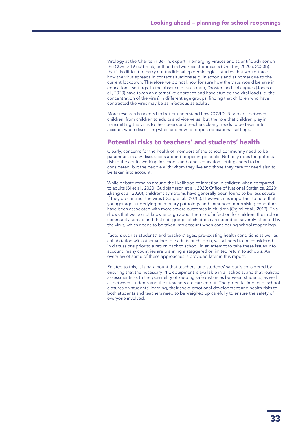Virology at the Charité in Berlin, expert in emerging viruses and scientific advisor on the COVID-19 outbreak, outlined in two recent podcasts (Drosten, 2020a, 2020b) that it is difficult to carry out traditional epidemiological studies that would trace how the virus spreads in contact situations (e.g. in schools and at home) due to the current lockdown. Therefore we do not know for sure how the virus would behave in educational settings. In the absence of such data, Drosten and colleagues (Jones et al., 2020) have taken an alternative approach and have studied the viral load (i.e. the concentration of the virus) in different age groups, finding that children who have contracted the virus may be as infectious as adults.

More research is needed to better understand how COVID-19 spreads between children, from children to adults and vice versa, but the role that children play in transmitting the virus to their peers and teachers clearly needs to be taken into account when discussing when and how to reopen educational settings.

### Potential risks to teachers' and students' health

Clearly, concerns for the health of members of the school community need to be paramount in any discussions around reopening schools. Not only does the potential risk to the adults working in schools and other education settings need to be considered, but the people with whom they live and those they care for need also to be taken into account.

While debate remains around the likelihood of infection in children when compared to adults (Bi et al., 2020; Gudbjartsson et al., 2020; Office of National Statistics, 2020; Zhang et al. 2020), children's symptoms have generally been found to be less severe if they do contract the virus (Dong et al., 2020;). However, it is important to note that younger age, underlying pulmonary pathology and immunocompromising conditions have been associated with more severe outcomes in children (Ogimi et al., 2019). This shows that we do not know enough about the risk of infection for children, their role in community spread and that sub-groups of children can indeed be severely affected by the virus, which needs to be taken into account when considering school reopenings.

Factors such as students' and teachers' ages, pre-existing health conditions as well as cohabitation with other vulnerable adults or children, will all need to be considered in discussions prior to a return back to school. In an attempt to take these issues into account, many countries are planning a staggered or limited return to schools. An overview of some of these approaches is provided later in this report.

Related to this, it is paramount that teachers' and students' safety is considered by ensuring that the necessary PPE equipment is available in all schools, and that realistic assessments as to the possibility of keeping safe distances between students, as well as between students and their teachers are carried out. The potential impact of school closures on students' learning, their socio-emotional development and health risks to both students and teachers need to be weighed up carefully to ensure the safety of everyone involved.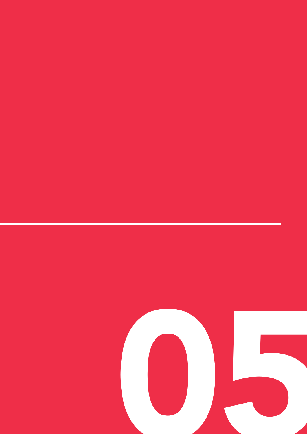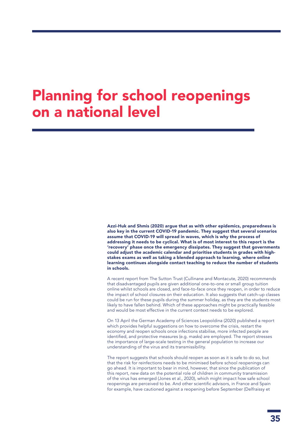### Planning for school reopenings on a national level

Azzi-Huk and Shmis (2020) argue that as with other epidemics, preparedness is also key in the current COVID-19 pandemic. They suggest that several scenarios assume that COVID-19 will spread in waves, which is why the process of addressing it needs to be cyclical. What is of most interest to this report is the 'recovery' phase once the emergency dissipates. They suggest that governments could adjust the academic calendar and prioritise students in grades with highstakes exams as well as taking a blended approach to learning, where online learning continues alongside contact teaching to reduce the number of students in schools.

A recent report from The Sutton Trust (Cullinane and Montacute, 2020) recommends that disadvantaged pupils are given additional one-to-one or small group tuition online whilst schools are closed, and face-to-face once they reopen, in order to reduce the impact of school closures on their education. It also suggests that catch-up classes could be run for these pupils during the summer holiday, as they are the students most likely to have fallen behind. Which of these approaches might be practically feasible and would be most effective in the current context needs to be explored.

On 13 April the German Academy of Sciences Leopoldina (2020) published a report which provides helpful suggestions on how to overcome the crisis, restart the economy and reopen schools once infections stabilise, more infected people are identified, and protective measures (e.g. masks) are employed. The report stresses the importance of large-scale testing in the general population to increase our understanding of the virus and its transmissibility.

The report suggests that schools should reopen as soon as it is safe to do so, but that the risk for reinfections needs to be minimised before school reopenings can go ahead. It is important to bear in mind, however, that since the publication of this report, new data on the potential role of children in community transmission of the virus has emerged (Jones et al., 2020), which might impact how safe school reopenings are perceived to be. And other scientific advisors, in France and Spain for example, have cautioned against a reopening before September (Delfraissy et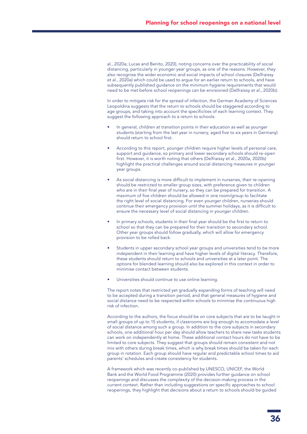al., 2020a; Lucas and Benito, 2020), noting concerns over the practicability of social distancing, particularly in younger year groups, as one of the reasons. However, they also recognise the wider economic and social impacts of school closures (Delfraissy et al., 2020a) which could be used to argue for an earlier return to schools, and have subsequently published guidance on the minimum hygiene requirements that would need to be met before school reopenings can be envisioned (Delfraissy et al., 2020b).

In order to mitigate risk for the spread of infection, the German Academy of Sciences Leopoldina suggests that the return to schools should be staggered according to age groups, and taking into account the specificities of each learning context. They suggest the following approach to a return to schools:

- In general, children at transition points in their education as well as younger students (starting from the last year in nursery, aged five to six years in Germany) should return to school first.
- According to this report, younger children require higher levels of personal care, support and guidance, so primary and lower secondary schools should re-open first. However, it is worth noting that others (Delfraissy et al., 2020a, 2020b) highlight the practical challenges around social distancing measures in younger year groups.
- As social distancing is more difficult to implement in nurseries, their re-opening should be restricted to smaller group sizes, with preference given to children who are in their final year of nursery, so they can be prepared for transition. A maximum of five children should be allowed in one room/group to facilitate the right level of social distancing. For even younger children, nurseries should continue their emergency provision until the summer holidays, as it is difficult to ensure the necessary level of social distancing in younger children.
- In primary schools, students in their final year should be the first to return to school so that they can be prepared for their transition to secondary school. Other year groups should follow gradually, which will allow for emergency provision to be rolled back.
- Students in upper secondary school year groups and universities tend to be more independent in their learning and have higher levels of digital literacy. Therefore, these students should return to schools and universities at a later point. The options for blended learning should also be explored in this context in order to minimise contact between students.
- Universities should continue to use online learning.

The report notes that restricted yet gradually expanding forms of teaching will need to be accepted during a transition period, and that general measures of hygiene and social distance need to be respected within schools to minimise the continuous high risk of infection.

According to the authors, the focus should be on core subjects that are to be taught in small groups of up to 15 students, if classrooms are big enough to accomodate a level of social distance among such a group. In addition to the core subjects in secondary schools, one additional hour per day should allow teachers to share new tasks students can work on independently at home. These additional contact hours do not have to be limited to core subjects. They suggest that groups should remain consistent and not mix with others during break times, which is why break times should be taken for each group in rotation. Each group should have regular and predictable school times to aid parents' schedules and create consistency for students.

A framework which was recently co-published by UNESCO, UNICEF, the World Bank and the World Food Programme (2020) provides further guidance on school reopenings and discusses the complexity of the decision-making process in the current context. Rather than including suggestions on specific approaches to school reopenings, they highlight that decisions about a return to schools should be guided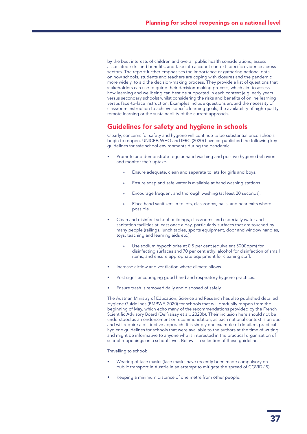by the best interests of children and overall public health considerations, assess associated risks and benefits, and take into account context-specific evidence across sectors. The report further emphasises the importance of gathering national data on how schools, students and teachers are coping with closures and the pandemic more widely, to aid the decision-making process. They provide a list of questions that stakeholders can use to guide their decision-making process, which aim to assess how learning and wellbeing can best be supported in each context (e.g. early years versus secondary schools) whilst considering the risks and benefits of online learning versus face-to-face instruction. Examples include questions around the necessity of classroom instruction to achieve specific learning goals, the availability of high-quality remote learning or the sustainability of the current approach.

### Guidelines for safety and hygiene in schools

Clearly, concerns for safety and hygiene will continue to be substantial once schools begin to reopen. UNICEF, WHO and IFRC (2020) have co-published the following key guidelines for safe school environments during the pandemic:

- Promote and demonstrate regular hand washing and positive hygiene behaviors and monitor their uptake.
	- » Ensure adequate, clean and separate toilets for girls and boys.
	- » Ensure soap and safe water is available at hand washing stations.
	- Encourage frequent and thorough washing (at least 20 seconds).
	- Place hand sanitizers in toilets, classrooms, halls, and near exits where possible.
- Clean and disinfect school buildings, classrooms and especially water and sanitation facilities at least once a day, particularly surfaces that are touched by many people (railings, lunch tables, sports equipment, door and window handles, toys, teaching and learning aids etc.).
	- Use sodium hypochlorite at 0.5 per cent (equivalent 5000ppm) for disinfecting surfaces and 70 per cent ethyl alcohol for disinfection of small items, and ensure appropriate equipment for cleaning staff.
- Increase airflow and ventilation where climate allows.
- Post signs encouraging good hand and respiratory hygiene practices.
- Ensure trash is removed daily and disposed of safely.

The Austrian Ministry of Education, Science and Research has also published detailed Hygiene Guidelines (BMBWF, 2020) for schools that will gradually reopen from the beginning of May, which echo many of the recommendations provided by the French Scientific Advisory Board (Delfraissy et al., 2020b). Their inclusion here should not be understood as an endorsement or recommendation, as each national context is unique and will require a distinctive approach. It is simply one example of detailed, practical hygiene guidelines for schools that were available to the authors at the time of writing and might be informative to anyone who is interested in the practical organisation of school reopenings on a school level. Below is a selection of these guidelines.

Travelling to school:

- Wearing of face masks (face masks have recently been made compulsory on public transport in Austria in an attempt to mitigate the spread of COVID-19).
- Keeping a minimum distance of one metre from other people.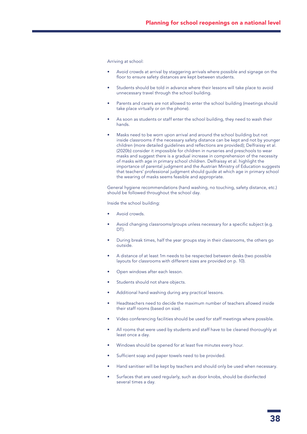Arriving at school:

- Avoid crowds at arrival by staggering arrivals where possible and signage on the floor to ensure safety distances are kept between students.
- Students should be told in advance where their lessons will take place to avoid unnecessary travel through the school building.
- Parents and carers are not allowed to enter the school building (meetings should take place virtually or on the phone).
- As soon as students or staff enter the school building, they need to wash their hands.
- Masks need to be worn upon arrival and around the school building but not inside classrooms if the necessary safety distance can be kept and not by younger children (more detailed guidelines and reflections are provided); Delfraissy et al. (2020b) consider it impossible for children in nurseries and preschools to wear masks and suggest there is a gradual increase in comprehension of the necessity of masks with age in primary school children. Delfraissy et al. highlight the importance of parental judgment and the Austrian Ministry of Education suggests that teachers' professional judgment should guide at which age in primary school the wearing of masks seems feasible and appropriate.

General hygiene recommendations (hand washing, no touching, safety distance, etc.) should be followed throughout the school day.

Inside the school building:

- Avoid crowds.
- Avoid changing classrooms/groups unless necessary for a specific subject (e.g. DT).
- During break times, half the year groups stay in their classrooms, the others go outside.
- A distance of at least 1m needs to be respected between desks (two possible layouts for classrooms with different sizes are provided on p. 10).
- Open windows after each lesson.
- Students should not share objects.
- Additional hand washing during any practical lessons.
- Headteachers need to decide the maximum number of teachers allowed inside their staff rooms (based on size).
- Video conferencing facilities should be used for staff meetings where possible.
- All rooms that were used by students and staff have to be cleaned thoroughly at least once a day.
- Windows should be opened for at least five minutes every hour.
- Sufficient soap and paper towels need to be provided.
- Hand sanitiser will be kept by teachers and should only be used when necessary.
- Surfaces that are used regularly, such as door knobs, should be disinfected several times a day.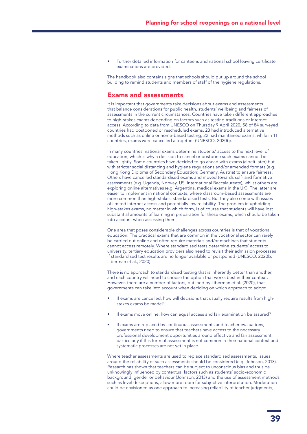• Further detailed information for canteens and national school leaving certificate examinations are provided.

The handbook also contains signs that schools should put up around the school building to remind students and members of staff of the hygiene regulations.

### Exams and assessments

It is important that governments take decisions about exams and assessments that balance considerations for public health, students' wellbeing and fairness of assessments in the current circumstances. Countries have taken different approaches to high-stakes exams depending on factors such as testing traditions or internet access. According to data from UNESCO on Thursday 9 April 2020, 58 of 84 surveyed countries had postponed or rescheduled exams, 23 had introduced alternative methods such as online or home-based testing, 22 had maintained exams, while in 11 countries, exams were cancelled altogether (UNESCO, 2020b).

In many countries, national exams determine students' access to the next level of education, which is why a decision to cancel or postpone such exams cannot be taken lightly. Some countries have decided to go ahead with exams (albeit later) but with stricter social distancing and hygiene regulations and/or amended formats (e.g. Hong Kong Diploma of Secondary Education; Germany, Austria) to ensure fairness. Others have cancelled standardised exams and moved towards self- and formative assessments (e.g. Uganda, Norway, US, International Baccalaureate), whilst others are exploring online alternatives (e.g. Argentina, medical exams in the UK). The latter are easier to implement in national contexts, where classroom-based assessments are more common than high-stakes, standardised tests. But they also come with issues of limited internet access and potentially low reliability. The problem in upholding high-stakes exams, no matter in which form, is of course that students will have lost substantial amounts of learning in preparation for these exams, which should be taken into account when assessing them.

One area that poses considerable challenges across countries is that of vocational education. The practical exams that are common in the vocational sector can rarely be carried out online and often require materials and/or machines that students cannot access remotely. Where standardised tests determine students' access to university, tertiary education providers also need to revisit their admission processes if standardised test results are no longer available or postponed (UNESCO, 2020b; Liberman et al., 2020).

There is no approach to standardised testing that is inherently better than another, and each country will need to choose the option that works best in their context. However, there are a number of factors, outlined by Liberman et al. (2020), that governments can take into account when deciding on which approach to adopt.

- If exams are cancelled, how will decisions that usually require results from highstakes exams be made?
- If exams move online, how can equal access and fair examination be assured?
- If exams are replaced by continuous assessments and teacher evaluations, governments need to ensure that teachers have access to the necessary professional development opportunities around effective and fair assessment, particularly if this form of assessment is not common in their national context and systematic processes are not yet in place.

Where teacher assessments are used to replace standardised assessments, issues around the reliability of such assessments should be considered (e.g. Johnson, 2013). Research has shown that teachers can be subject to unconscious bias and thus be unknowingly influenced by contextual factors such as students' socio-economic background, gender or behaviour (Johnson, 2013) and the use of assessment methods such as level descriptions, allow more room for subjective interpretation. Moderation could be envisioned as one approach to increasing reliability of teacher judgments,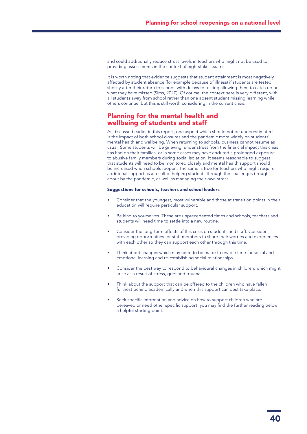and could additionally reduce stress levels in teachers who might not be used to providing assessments in the context of high-stakes exams.

It is worth noting that evidence suggests that student attainment is most negatively affected by student absence (for example because of illness) if students are tested shortly after their return to school, with delays to testing allowing them to catch up on what they have missed (Sims, 2020). Of course, the context here is very different, with all students away from school rather than one absent student missing learning while others continue, but this is still worth considering in the current crisis.

### Planning for the mental health and wellbeing of students and staff

As discussed earlier in this report, one aspect which should not be underestimated is the impact of both school closures and the pandemic more widely on students' mental health and wellbeing. When returning to schools, business cannot resume as usual. Some students will be grieving, under stress from the financial impact this crisis has had on their families, or in some cases may have endured a prolonged exposure to abusive family members during social isolation. It seems reasonable to suggest that students will need to be monitored closely and mental health support should be increased when schools reopen. The same is true for teachers who might require additional support as a result of helping students through the challenges brought about by the pandemic, as well as managing their own stress.

### Suggestions for schools, teachers and school leaders

- Consider that the youngest, most vulnerable and those at transition points in their education will require particular support.
- Be kind to yourselves. These are unprecedented times and schools, teachers and students will need time to settle into a new routine.
- Consider the long-term effects of this crisis on students and staff. Consider providing opportunities for staff members to share their worries and experiences with each other so they can support each other through this time.
- Think about changes which may need to be made to enable time for social and emotional learning and re-establishing social relationships.
- Consider the best way to respond to behavioural changes in children, which might arise as a result of stress, grief and trauma.
- Think about the support that can be offered to the children who have fallen furthest behind academically and when this support can best take place.
- Seek specific information and advice on how to support children who are bereaved or need other specific support; you may find the further reading below a helpful starting point.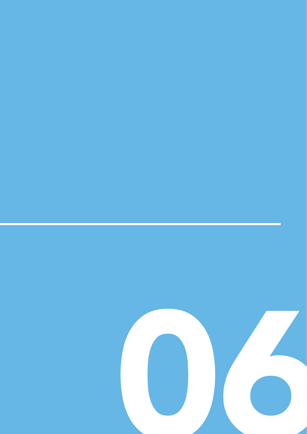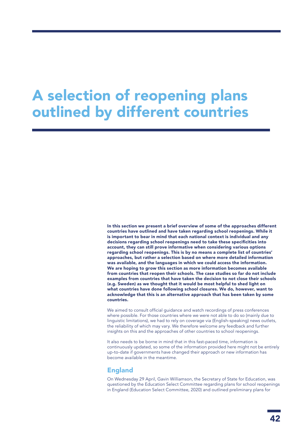### A selection of reopening plans outlined by different countries

In this section we present a brief overview of some of the approaches different countries have outlined and have taken regarding school reopenings. While it is important to bear in mind that each national context is individual and any decisions regarding school reopenings need to take these specificities into account, they can still prove informative when considering various options regarding school reopenings. This is by no means a complete list of countries' approaches, but rather a selection based on where more detailed information was available, and the languages in which we could access the information. We are hoping to grow this section as more information becomes available from countries that reopen their schools. The case studies so far do not include examples from countries that have taken the decision to not close their schools (e.g. Sweden) as we thought that it would be most helpful to shed light on what countries have done following school closures. We do, however, want to acknowledge that this is an alternative approach that has been taken by some countries.

We aimed to consult official guidance and watch recordings of press conferences where possible. For those countries where we were not able to do so (mainly due to linguistic limitations), we had to rely on coverage via (English-speaking) news outlets, the reliability of which may vary. We therefore welcome any feedback and further insights on this and the approaches of other countries to school reopenings.

It also needs to be borne in mind that in this fast-paced time, information is continuously updated, so some of the information provided here might not be entirely up-to-date if governments have changed their approach or new information has become available in the meantime.

### England

On Wednesday 29 April, Gavin Williamson, the Secretary of State for Education, was questioned by the Education Select Committee regarding plans for school reopenings in England (Education Select Committee, 2020) and outlined preliminary plans for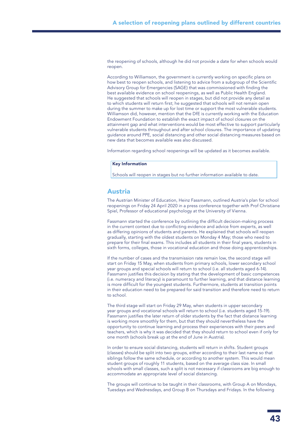the reopening of schools, although he did not provide a date for when schools would reopen.

According to Williamson, the government is currently working on specific plans on how best to reopen schools, and listening to advice from a subgroup of the Scientific Advisory Group for Emergencies (SAGE) that was commissioned with finding the best available evidence on school reopenings, as well as Public Health England. He suggested that schools will reopen in stages, but did not provide any detail as to which students will return first; he suggested that schools will not remain open during the summer to make up for lost time or support the most vulnerable students. Williamson did, however, mention that the DfE is currently working with the Education Endowment Foundation to establish the exact impact of school closures on the attainment gap and what interventions would be most effective to support particularly vulnerable students throughout and after school closures. The importance of updating guidance around PPE, social distancing and other social distancing measures based on new data that becomes available was also discussed.

Information regarding school reopenings will be updated as it becomes available.

#### Key Information

Schools will reopen in stages but no further information available to date.

### Austria

The Austrian Minister of Education, Heinz Fassmann, outlined Austria's plan for school reopenings on Friday 24 April 2020 in a press conference together with Prof Christiane Spiel, Professor of educational psychology at the University of Vienna.

Fassmann started the conference by outlining the difficult decision-making process in the current context due to conflicting evidence and advice from experts, as well as differing opinions of students and parents. He explained that schools will reopen gradually, starting with the oldest students on Monday 4 May; those who need to prepare for their final exams. This includes all students in their final years, students in sixth forms, colleges, those in vocational education and those doing apprenticeships.

If the number of cases and the transmission rate remain low, the second stage will start on Friday 15 May, when students from primary schools, lower secondary school year groups and special schools will return to school (i.e. all students aged 6-14). Fassmann justifies this decision by stating that the development of basic competences (i.e. numeracy and literacy) is paramount to further learning, and that distance learning is more difficult for the youngest students. Furthermore, students at transition points in their education need to be prepared for said transition and therefore need to return to school.

The third stage will start on Friday 29 May, when students in upper secondary year groups and vocational schools will return to school (i.e. students aged 15-19). Fassmann justifies the later return of older students by the fact that distance learning is working more smoothly for them, but that they should nevertheless have the opportunity to continue learning and process their experiences with their peers and teachers, which is why it was decided that they should return to school even if only for one month (schools break up at the end of June in Austria).

In order to ensure social distancing, students will return in shifts. Student groups (classes) should be split into two groups, either according to their last name so that siblings follow the same schedule, or according to another system. This would mean student groups of roughly 11 students, based on the average class size. In small schools with small classes, such a split is not necessary if classrooms are big enough to accommodate an appropriate level of social distancing.

The groups will continue to be taught in their classrooms, with Group A on Mondays, Tuesdays and Wednesdays, and Group B on Thursdays and Fridays. In the following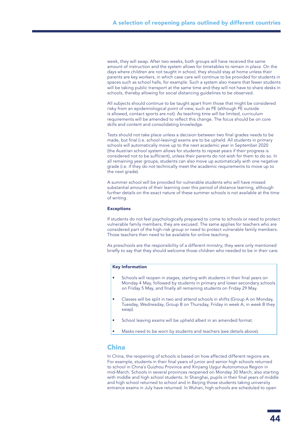week, they will swap. After two weeks, both groups will have received the same amount of instruction and the system allows for timetables to remain in place. On the days where children are not taught in school, they should stay at home unless their parents are key workers, in which case care will continue to be provided for students in spaces such as school halls, for example. Such a system also means that fewer students will be taking public transport at the same time and they will not have to share desks in schools, thereby allowing for social distancing guidelines to be observed.

All subjects should continue to be taught apart from those that might be considered risky from an epidemiological point of view, such as PE (although PE outside is allowed, contact sports are not). As teaching time will be limited, curriculum requirements will be amended to reflect this change. The focus should be on core skills and content and consolidating knowledge.

Tests should not take place unless a decision between two final grades needs to be made, but final (i.e. school-leaving) exams are to be upheld. All students in primary schools will automatically move up to the next academic year in September 2020 (the Austrian school system allows for students to repeat years if their progress is considered not to be sufficient), unless their parents do not wish for them to do so. In all remaining year groups, students can also move up automatically with one negative grade (i.e. if they do not technically meet the academic requirements to move up to the next grade).

A summer school will be provided for vulnerable students who will have missed substantial amounts of their learning over this period of distance learning, although further details on the exact nature of these summer schools is not available at the time of writing.

### Exceptions

If students do not feel psychologically prepared to come to schools or need to protect vulnerable family members, they are excused. The same applies for teachers who are considered part of the high-risk group or need to protect vulnerable family members. Those teachers then need to be available for online teaching.

As preschools are the responsibility of a different ministry, they were only mentioned briefly to say that they should welcome those children who needed to be in their care.

### Key Information

- Schools will reopen in stages, starting with students in their final years on Monday 4 May, followed by students in primary and lower secondary schools on Friday 5 May, and finally all remaining students on Friday 29 May.
- Classes will be split in two and attend schools in shifts (Group A on Monday, Tuesday, Wednesday, Group B on Thursday, Friday in week A; in week B they swap).
- School leaving exams will be upheld albeit in an amended format.
- Masks need to be worn by students and teachers (see details above).

### China

In China, the reopening of schools is based on how affected different regions are. For example, students in their final years of junior and senior high schools returned to school in China's Guizhou Province and Xinjiang Uygur Autonomous Region in mid-March. Schools in several provinces reopened on Monday 30 March, also starting with middle and high school students. In Shanghai, pupils in their final years of middle and high school returned to school and in Beijing those students taking university entrance exams in July have returned. In Wuhan, high schools are scheduled to open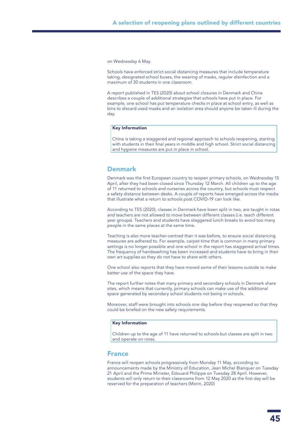on Wednesday 6 May.

Schools have enforced strict social distancing measures that include temperature taking, designated school buses, the wearing of masks, regular disinfection and a maximum of 30 students in one classroom.

A report published in TES (2020) about school closures in Denmark and China describes a couple of additional strategies that schools have put in place. For example, one school has put temperature checks in place at school entry, as well as bins to discard used masks and an isolation area should anyone be taken ill during the day.

### Key Information

China is taking a staggered and regional approach to schools reopening, starting with students in their final years in middle and high school. Strict social distancing and hygiene measures are put in place in school.

### Denmark

Denmark was the first European country to reopen primary schools, on Wednesday 15 April, after they had been closed since Thursday 12 March. All children up to the age of 11 returned to schools and nurseries across the country, but schools must respect a safety distance between desks. A couple of reports have emerged across the media that illustrate what a return to schools post COVID-19 can look like.

According to TES (2020), classes in Denmark have been split in two, are taught in rotas and teachers are not allowed to move between different classes (i.e. teach different year groups). Teachers and students have staggered lunch breaks to avoid too many people in the same places at the same time.

Teaching is also more teacher-centred than it was before, to ensure social distancing measures are adhered to. For example, carpet-time that is common in many primary settings is no longer possible and one school in the report has staggered arrival times. The frequency of handwashing has been increased and students have to bring in their own art supplies so they do not have to share with others.

One school also reports that they have moved some of their lessons outside to make better use of the space they have.

The report further notes that many primary and secondary schools in Denmark share sites, which means that currently, primary schools can make use of the additional space generated by secondary school students not being in schools.

Moreover, staff were brought into schools one day before they reopened so that they could be briefed on the new safety requirements.

#### Key Information

Children up to the age of 11 have returned to schools but classes are split in two and operate on rotas.

### France

France will reopen schools progressively from Monday 11 May, according to announcements made by the Ministry of Education, Jean Michel Blanquer on Tuesday 21 April and the Prime Minister, Edouard Philippe on Tuesday 28 April. However, students will only return to their classrooms from 12 May 2020 as the first day will be reserved for the preparation of teachers (Morin, 2020)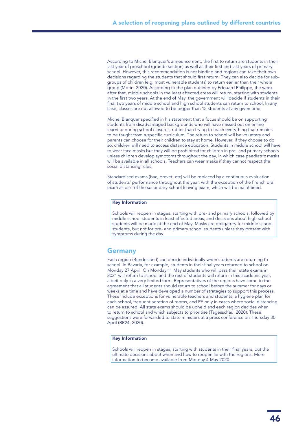According to Michel Blanquer's announcement, the first to return are students in their last year of preschool (grande section) as well as their first and last years of primary school. However, this recommendation is not binding and regions can take their own decisions regarding the students that should first return. They can also decide for subgroups of children (e.g. most vulnerable students) to return earlier than their whole group (Morin, 2020). According to the plan outlined by Edouard Philippe, the week after that, middle schools in the least affected areas will return, starting with students in the first two years. At the end of May, the government will decide if students in their final two years of middle school and high school students can return to school. In any case, classes are not allowed to be bigger than 15 students at any given time.

Michel Blanquer specified in his statement that a focus should be on supporting students from disadvantaged backgrounds who will have missed out on online learning during school closures, rather than trying to teach everything that remains to be taught from a specific curriculum. The return to school will be voluntary and parents can choose for their children to stay at home. However, if they choose to do so, children will need to access distance education. Students in middle school will have to wear face masks but they will be prohibited for children in pre- and primary schools unless children develop symptoms throughout the day, in which case paediatric masks will be available in all schools. Teachers can wear masks if they cannot respect the social distancing rules.

Standardised exams (bac, brevet, etc) will be replaced by a continuous evaluation of students' performance throughout the year, with the exception of the French oral exam as part of the secondary school leaving exam, which will be maintained.

### Key Information

Schools will reopen in stages, starting with pre- and primary schools, followed by middle school students in least affected areas, and decisions about high school students will be made at the end of May. Masks are obligatory for middle school students, but not for pre- and primary school students unless they present with symptoms during the day.

### **Germany**

Each region (Bundesland) can decide individually when students are returning to school. In Bavaria, for example, students in their final years returned to school on Monday 27 April. On Monday 11 May students who will pass their state exams in 2021 will return to school and the rest of students will return in this academic year, albeit only in a very limited form. Representatives of the regions have come to the agreement that all students should return to school before the summer for days or weeks at a time and have developed a number of strategies to support this process. These include exceptions for vulnerable teachers and students, a hygiene plan for each school, frequent aeration of rooms, and PE only in cases where social distancing can be assured. All state exams should be upheld and each region decides when to return to school and which subjects to prioritise (Tagesschau, 2020). These suggestions were forwarded to state ministers at a press conference on Thursday 30 April (BR24, 2020).

#### Key Information

Schools will reopen in stages, starting with students in their final years, but the ultimate decisions about when and how to reopen lie with the regions. More information to become available from Monday 4 May 2020.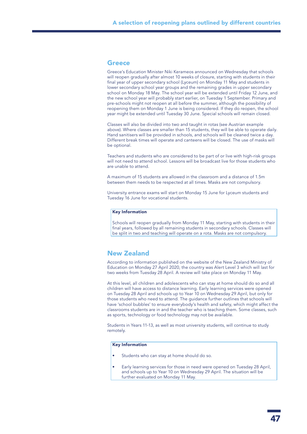### **Greece**

Greece's Education Minister Niki Kerameos announced on Wednesday that schools will reopen gradually after almost 10 weeks of closure, starting with students in their final year of upper secondary school (Lyceum) on Monday 11 May and students in lower secondary school year groups and the remaining grades in upper secondary school on Monday 18 May. The school year will be extended until Friday 12 June, and the new school year will probably start earlier, on Tuesday 1 September. Primary and pre-schools might not reopen at all before the summer, although the possibility of reopening them on Monday 1 June is being considered. If they do reopen, the school year might be extended until Tuesday 30 June. Special schools will remain closed.

Classes will also be divided into two and taught in rotas (see Austrian example above). Where classes are smaller than 15 students, they will be able to operate daily. Hand sanitisers will be provided in schools, and schools will be cleaned twice a day. Different break times will operate and canteens will be closed. The use of masks will be optional.

Teachers and students who are considered to be part of or live with high-risk groups will not need to attend school. Lessons will be broadcast live for those students who are unable to attend.

A maximum of 15 students are allowed in the classroom and a distance of 1.5m between them needs to be respected at all times. Masks are not compulsory.

University entrance exams will start on Monday 15 June for Lyceum students and Tuesday 16 June for vocational students.

### Key Information

Schools will reopen gradually from Monday 11 May, starting with students in their final years, followed by all remaining students in secondary schools. Classes will be split in two and teaching will operate on a rota. Masks are not compulsory.

### New Zealand

According to information published on the website of the New Zealand Ministry of Education on Monday 27 April 2020, the country was Alert Level 3 which will last for two weeks from Tuesday 28 April. A review will take place on Monday 11 May.

At this level, all children and adolescents who can stay at home should do so and all children will have access to distance learning. Early learning services were opened on Tuesday 28 April and schools up to Year 10 on Wednesday 29 April, but only for those students who need to attend. The guidance further outlines that schools will have 'school bubbles' to ensure everybody's health and safety, which might affect the classrooms students are in and the teacher who is teaching them. Some classes, such as sports, technology or food technology may not be available.

Students in Years 11-13, as well as most university students, will continue to study remotely.

### Key Information

- Students who can stay at home should do so.
- Early learning services for those in need were opened on Tuesday 28 April, and schools up to Year 10 on Wednesday 29 April. The situation will be further evaluated on Monday 11 May.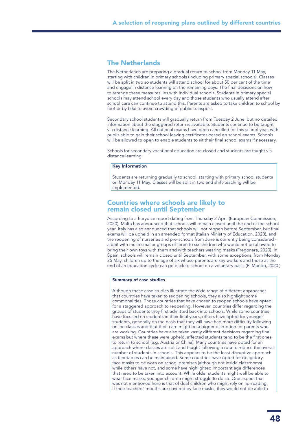### The Netherlands

The Netherlands are preparing a gradual return to school from Monday 11 May, starting with children in primary schools (including primary special schools). Classes will be split in two so students will attend school for about 50 per cent of the time and engage in distance learning on the remaining days. The final decisions on how to arrange these measures lies with individual schools. Students in primary special schools may attend school every day and those students who usually attend after school care can continue to attend this. Parents are asked to take children to school by foot or by bike to avoid crowding of public transport.

Secondary school students will gradually return from Tuesday 2 June, but no detailed information about the staggered return is available. Students continue to be taught via distance learning. All national exams have been cancelled for this school year, with pupils able to gain their school leaving certificates based on school exams. Schools will be allowed to open to enable students to sit their final school exams if necessary.

Schools for secondary vocational education are closed and students are taught via distance learning.

### Key Information

Students are returning gradually to school, starting with primary school students on Monday 11 May. Classes will be split in two and shift-teaching will be implemented.

### Countries where schools are likely to remain closed until September

According to a Eurydice report dating from Thursday 2 April (European Commission, 2020), Malta has announced that schools will remain closed until the end of the school year. Italy has also announced that schools will not reopen before September, but final exams will be upheld in an amended format (Italian Ministry of Education, 2020), and the reopening of nurseries and pre-schools from June is currently being considered albeit with much smaller groups of three to six children who would not be allowed to bring their own toys with them and with teachers wearing masks (Fregonara, 2020). In Spain, schools will remain closed until September, with some exceptions; from Monday 25 May, children up to the age of six whose parents are key workers and those at the end of an education cycle can go back to school on a voluntary basis (El Mundo, 2020.)

### Summary of case studies

Although these case studies illustrate the wide range of different approaches that countries have taken to reopening schools, they also highlight some commonalities. Those countries that have chosen to reopen schools have opted for a staggered approach to reopening. However, countries differ regarding the groups of students they first admitted back into schools. While some countries have focused on students in their final years, others have opted for younger students, generally on the basis that they will have had more difficulty following online classes and that their care might be a bigger disruption for parents who are working. Countries have also taken vastly different decisions regarding final exams but where these were upheld, affected students tend to be the first ones to return to school (e.g. Austria or China). Many countries have opted for an approach where classes are split and taught following a rota to reduce the overall number of students in schools. This appears to be the least disruptive approach as timetables can be maintained. Some countries have opted for obligatory face masks to be worn on school premises (although not inside classrooms) while others have not, and some have highlighted important age differences that need to be taken into account. While older students might well be able to wear face masks, younger children might struggle to do so. One aspect that was not mentioned here is that of deaf children who might rely on lip-reading. If their teachers' mouths are covered by face masks, they would not be able to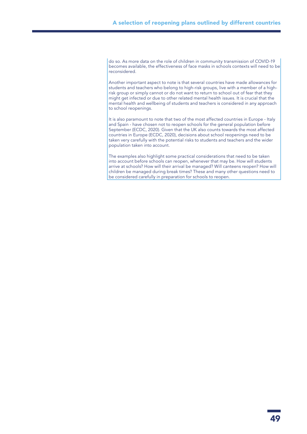do so. As more data on the role of children in community transmission of COVID-19 becomes available, the effectiveness of face masks in schools contexts will need to be reconsidered.

Another important aspect to note is that several countries have made allowances for students and teachers who belong to high-risk groups, live with a member of a highrisk group or simply cannot or do not want to return to school out of fear that they might get infected or due to other related mental health issues. It is crucial that the mental health and wellbeing of students and teachers is considered in any approach to school reopenings.

It is also paramount to note that two of the most affected countries in Europe - Italy and Spain - have chosen not to reopen schools for the general population before September (ECDC, 2020). Given that the UK also counts towards the most affected countries in Europe (ECDC, 2020), decisions about school reopenings need to be taken very carefully with the potential risks to students and teachers and the wider population taken into account.

The examples also highlight some practical considerations that need to be taken into account before schools can reopen, whenever that may be. How will students arrive at schools? How will their arrival be managed? Will canteens reopen? How will children be managed during break times? These and many other questions need to be considered carefully in preparation for schools to reopen.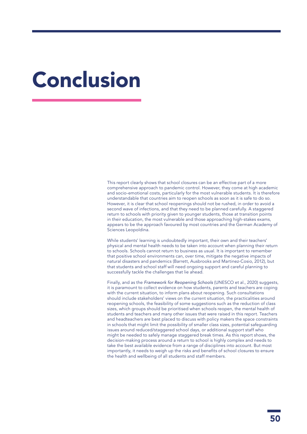## Conclusion

This report clearly shows that school closures can be an effective part of a more comprehensive approach to pandemic control. However, they come at high academic and socio-emotional costs, particularly for the most vulnerable students. It is therefore understandable that countries aim to reopen schools as soon as it is safe to do so. However, it is clear that school reopenings should not be rushed, in order to avoid a second wave of infections, and that they need to be planned carefully. A staggered return to schools with priority given to younger students, those at transition points in their education, the most vulnerable and those approaching high-stakes exams, appears to be the approach favoured by most countries and the German Academy of Sciences Leopoldina.

While students' learning is undoubtedly important, their own and their teachers' physical and mental health needs to be taken into account when planning their return to schools. Schools cannot return to business as usual. It is important to remember that positive school environments can, over time, mitigate the negative impacts of natural disasters and pandemics (Barrett, Ausbrooks and Martinez-Cosio, 2012), but that students and school staff will need ongoing support and careful planning to successfully tackle the challenges that lie ahead.

Finally, and as the *Framework for Reopening Schools* (UNESCO et al., 2020) suggests, it is paramount to collect evidence on how students, parents and teachers are coping with the current situation, to inform plans about reopening. Such consultations should include stakeholders' views on the current situation, the practicalities around reopening schools, the feasibility of some suggestions such as the reduction of class sizes, which groups should be prioritised when schools reopen, the mental health of students and teachers and many other issues that were raised in this report. Teachers and headteachers are best placed to discuss with policy makers the space constraints in schools that might limit the possibility of smaller class sizes, potential safeguarding issues around reduced/staggered school days, or additional support staff who might be needed to safely manage staggered break times. As this report shows, the decision-making process around a return to school is highly complex and needs to take the best available evidence from a range of disciplines into account. But most importantly, it needs to weigh up the risks and benefits of school closures to ensure the health and wellbeing of all students and staff members.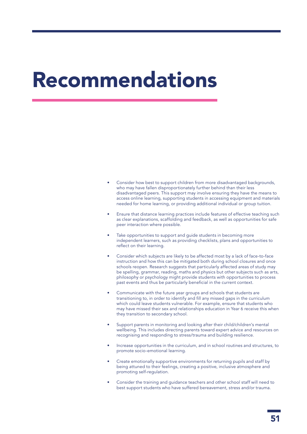## Recommendations

- Consider how best to support children from more disadvantaged backgrounds, who may have fallen disproportionately further behind than their less disadvantaged peers. This support may involve ensuring they have the means to access online learning, supporting students in accessing equipment and materials needed for home learning, or providing additional individual or group tuition.
- Ensure that distance learning practices include features of effective teaching such as clear explanations, scaffolding and feedback, as well as opportunities for safe peer interaction where possible.
- Take opportunities to support and quide students in becoming more independent learners, such as providing checklists, plans and opportunities to reflect on their learning.
- Consider which subjects are likely to be affected most by a lack of face-to-face instruction and how this can be mitigated both during school closures and once schools reopen. Research suggests that particularly affected areas of study may be spelling, grammar, reading, maths and physics but other subjects such as arts, philosophy or psychology might provide students with opportunities to process past events and thus be particularly beneficial in the current context.
- Communicate with the future year groups and schools that students are transitioning to, in order to identify and fill any missed gaps in the curriculum which could leave students vulnerable. For example, ensure that students who may have missed their sex and relationships education in Year 6 receive this when they transition to secondary school.
- Support parents in monitoring and looking after their child/children's mental wellbeing. This includes directing parents toward expert advice and resources on recognising and responding to stress/trauma and building resilience.
- Increase opportunities in the curriculum, and in school routines and structures, to promote socio-emotional learning.
- Create emotionally supportive environments for returning pupils and staff by being attuned to their feelings, creating a positive, inclusive atmosphere and promoting self-regulation.
- Consider the training and guidance teachers and other school staff will need to best support students who have suffered bereavement, stress and/or trauma.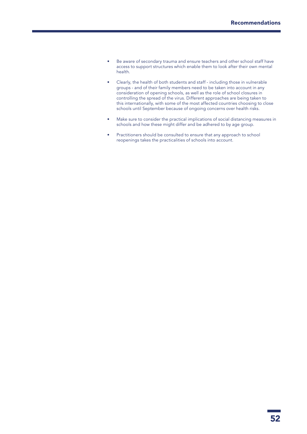- Be aware of secondary trauma and ensure teachers and other school staff have access to support structures which enable them to look after their own mental health.
- Clearly, the health of both students and staff including those in vulnerable groups - and of their family members need to be taken into account in any consideration of opening schools, as well as the role of school closures in controlling the spread of the virus. Different approaches are being taken to this internationally, with some of the most affected countries choosing to close schools until September because of ongoing concerns over health risks.
- Make sure to consider the practical implications of social distancing measures in schools and how these might differ and be adhered to by age group.
- Practitioners should be consulted to ensure that any approach to school reopenings takes the practicalities of schools into account.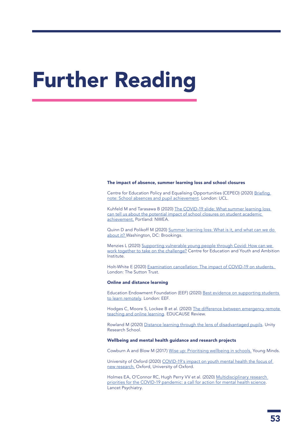# Further Reading

#### The impact of absence, summer learning loss and school closures

Centre for Education Policy and Equalising Opportunities (CEPEO) (2020) Briefing [note: School absences and pupil achievement.](https://repec-cepeo.ucl.ac.uk/cepeob/cepeobn1.pdf) London: UCL.

Kuhfeld M and Tarasawa B (2020) [The COVID-19 slide: What summer learning loss](https://www.nwea.org/content/uploads/2020/04/Collaborative-Brief_Covid19-Slide-APR20.pdf)  [can tell us about the potential impact of school closures on student academic](https://www.nwea.org/content/uploads/2020/04/Collaborative-Brief_Covid19-Slide-APR20.pdf)  [achievement.](https://www.nwea.org/content/uploads/2020/04/Collaborative-Brief_Covid19-Slide-APR20.pdf) Portland: NWEA.

Quinn D and Polikoff M (2020) [Summer learning loss: What is it, and what can we do](https://www.brookings.edu/research/summer-learning-loss-what-is-it-and-what-can-we-do-about-it/)  [about it? W](https://www.brookings.edu/research/summer-learning-loss-what-is-it-and-what-can-we-do-about-it/)ashington, DC: Brookings.

Menzies L (2020) [Supporting vulnerable young people through Covid: How can we](https://cfey.org/wp-content/uploads/2020/04/Supporting-Vulnerable-Young-People-through-Covid-19.-Menzies-L.-2020-3.pdf)  [work together to take on the challenge?](https://cfey.org/wp-content/uploads/2020/04/Supporting-Vulnerable-Young-People-through-Covid-19.-Menzies-L.-2020-3.pdf) Centre for Education and Youth and Ambition Institute.

Holt-White E (2020) Examination cancellation: The impact of COVID-19 on students. London: The Sutton Trust.

#### Online and distance learning

Education Endowment Foundation (EEF) (2020) [Best evidence on supporting students](https://educationendowmentfoundation.org.uk/covid-19-resources/best-evidence-on-supporting-students-to-learn-remotely)  [to learn remotely.](https://educationendowmentfoundation.org.uk/covid-19-resources/best-evidence-on-supporting-students-to-learn-remotely) London: EEF.

Hodges C, Moore S, Lockee B et al. (2020) [The difference between emergency remote](https://er.educause.edu/articles/2020/3/the-difference-between-emergency-remote-teaching-and-online-learning)  [teaching and online learning](https://er.educause.edu/articles/2020/3/the-difference-between-emergency-remote-teaching-and-online-learning). EDUCAUSE Review.

Rowland M (2020) [Distance learning through the lens of disadvantaged pupils.](https://researchschool.org.uk/unity/news/distance-learning-through-the-lens-of-disadvantaged-pupils/) Unity Research School.

#### Wellbeing and mental health guidance and research projects

Cowburn A and Blow M (2017) [Wise up: Prioritising wellbeing in schools.](https://youngminds.org.uk/media/1428/wise-up-prioritising-wellbeing-in-schools.pdf) Young Minds.

University of Oxford (2020) [COVID-19's impact on youth mental health the focus of](http://www.ox.ac.uk/news/2020-03-30-covid-19s-impact-youth-mental-health-focus-new-research)  [new research.](http://www.ox.ac.uk/news/2020-03-30-covid-19s-impact-youth-mental-health-focus-new-research) Oxford, University of Oxford.

Holmes EA, O'Connor RC, Hugh Perry VV et al. (2020) Multidisciplinary research [priorities for the COVID-19 pandemic: a call for action for mental health science](https://www.thelancet.com/pdfs/journals/lanpsy/PIIS2215-0366(20)30168-1.pdf). Lancet Psychiatry.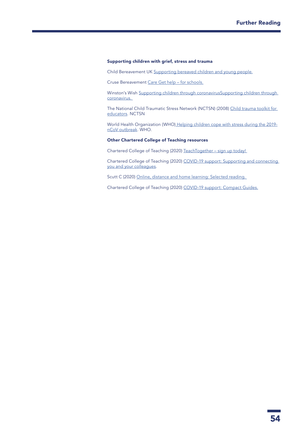### Supporting children with grief, stress and trauma

Child Bereavement UK [Supporting bereaved children and young people.](https://www.childbereavementuk.org/supporting-bereaved-children-and-young-people)

Cruse Bereavement [Care Get help – for schools.](https://www.cruse.org.uk/get-help/for-schools)

Winston's Wish Supporting children through coronavirusSupporting children through [coronavirus.](https://www.winstonswish.org/coronavirus/) 

The National Child Traumatic Stress Network (NCTSN) (2008) [Child trauma toolkit for](https://wmich.edu/sites/default/files/attachments/u57/2013/child-trauma-toolkit.pdf)  [educators.](https://wmich.edu/sites/default/files/attachments/u57/2013/child-trauma-toolkit.pdf) NCTSN

World Health Organization (WHO) [Helping children cope with stress during the 2019](https://www.who.int/docs/default-source/coronaviruse/helping-children-cope-with-stress-print.pdf?sfvrsn=f3a063ff_2) [nCoV outbreak](https://www.who.int/docs/default-source/coronaviruse/helping-children-cope-with-stress-print.pdf?sfvrsn=f3a063ff_2). WHO.

#### Other Chartered College of Teaching resources

Chartered College of Teaching (2020) [TeachTogether – sign up today!](https://chartered.college/teachtogether/) 

Chartered College of Teaching (2020) [COVID-19 support: Supporting and connecting](https://my.chartered.college/resources/covid-19-support/)  [you and your colleagues](https://my.chartered.college/resources/covid-19-support/).

Scutt C (2020) Online, distance and home learning: Selected reading.

Chartered College of Teaching (2020) [COVID-19 support: Compact Guides.](https://my.chartered.college/resources/compact-guides/covid-19-compact-guides/)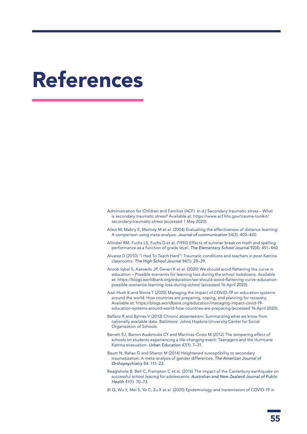## References

- Administration for Children and Families (ACF) (n.d.[\) Secondary traumatic stress What](https://www.acf.hhs.gov/trauma-toolkit/secondary-traumatic-stress)  [is secondary traumatic stress?](https://www.acf.hhs.gov/trauma-toolkit/secondary-traumatic-stress) Available at: [https://www.acf.hhs.gov/trauma-toolkit/](https://www.acf.hhs.gov/trauma-toolkit/secondary-traumatic-stress) [secondary-traumatic-stress](https://www.acf.hhs.gov/trauma-toolkit/secondary-traumatic-stress) (accessed 1 May 2020).
- Allen M, Mabry E, Mattrey M et al. (2004) Evaluating the effectiveness of distance learning: A comparison using meta-analysis. *Journal of communication* 54(3): 402–420.
- Allinder RM, Fuchs LS, Fuchs D et al. (1992) Effects of summer break on math and spelling performance as a function of grade level. *The Elementary School Journal* 92(4): 451–460.
- Alvarez D (2010) "I Had To Teach Hard": Traumatic conditions and teachers in post-Katrina classrooms. *The High School Journal* 94(1): 28–39.
- Aroob Iqbal S, Azevedo JP, Geven K et al. (2020[\)](https://blogs.worldbank.org/education/we-should-avoid-flattening-curve-education-possible-scenarios-learning-loss-during-school) [We should avoid flattening the curve in](https://blogs.worldbank.org/education/we-should-avoid-flattening-curve-education-possible-scenarios-learning-loss-during-school)  [education – Possible scenarios for learning loss during the school lockdowns.](https://blogs.worldbank.org/education/we-should-avoid-flattening-curve-education-possible-scenarios-learning-loss-during-school) Available at: [https://blogs.worldbank.org/education/we-should-avoid-flattening-curve-education](https://blogs.worldbank.org/education/we-should-avoid-flattening-curve-education-possible-scenarios-learning-loss-during-school)[possible-scenarios-learning-loss-during-school](https://blogs.worldbank.org/education/we-should-avoid-flattening-curve-education-possible-scenarios-learning-loss-during-school) (accessed 16 April 2020).
- Azzi-Huck K and Shmis T (2020[\)](https://blogs.worldbank.org/education/managing-impact-covid-19-education-systems-around-world-how-countries-are-preparing) [Managing the impact of COVID-19 on education systems](https://blogs.worldbank.org/education/managing-impact-covid-19-education-systems-around-world-how-countries-are-preparing)  [around the world: How countries are preparing, coping, and planning for recovery.](https://blogs.worldbank.org/education/managing-impact-covid-19-education-systems-around-world-how-countries-are-preparing) Available at: [https://blogs.worldbank.org/education/managing-impact-covid-19](https://blogs.worldbank.org/education/managing-impact-covid-19-education-systems-around-world-how-countries-are-preparing) [education-systems-around-world-how-countries-are-preparing](https://blogs.worldbank.org/education/managing-impact-covid-19-education-systems-around-world-how-countries-are-preparing) (accessed 16 April 2020).
- Balfanz R and Byrnes V (2012[\)](https://new.every1graduates.org/wp-content/uploads/2012/05/FINALChronicAbsenteeismReport_May16.pdf) [Chronic absenteeism: Summarizing what we know from](https://new.every1graduates.org/wp-content/uploads/2012/05/FINALChronicAbsenteeismReport_May16.pdf)  [nationally available data.](https://new.every1graduates.org/wp-content/uploads/2012/05/FINALChronicAbsenteeismReport_May16.pdf) Baltimore: Johns Hopkins University Center for Social Organization of Schools.
- Barrett EJ, Barron Ausbrooks CY and Martinez-Cosio M (2012) The tempering effect of schools on students experiencing a life-changing event: Teenagers and the Hurricane Katrina evacuation. *Urban Education* 47(1): 7–31.
- Baum N, Rahav G and Sharon M (2014) Heightened susceptibility to secondary traumatization: A meta-analysis of gender differences. *The American Journal of Orthopsychiatry* 84: 111–22.
- Beaglehole B, Bell C, Frampton C et al. (2016) The impact of the Canterbury earthquake on successful school leaving for adolescents. *Australian and New Zealand Journal of Public Health* 41(1): 70–73.
- Bi Q, Wu Y, Mei S, Ye C, Zu X et al. (2020) Epidemiology and transmission of COVID-19 in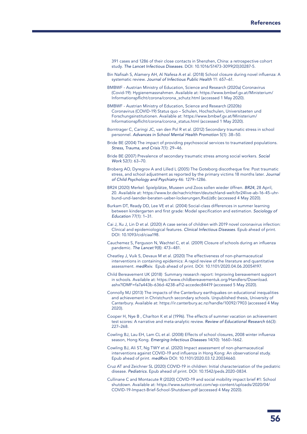391 cases and 1286 of their close contacts in Shenzhen, China: a retrospective cohort study. *The Lancet Infectious Diseases.* DOI: 10.1016/S1473-3099(20)30287-5.

- Bin Nafisah S, Alamery AH, Al Nafesa A et al. (2018) School closure during novel influenza: A systematic review. *Journal of Infectious Public Health* 11: 657–61.
- BMBWF Austrian Ministry of Education, Science and Research (2020a) Coronavirus (Covid-19): Hygienemassnahmen. Available at: [https://www.bmbwf.gv.at/Ministerium/](https://www.bmbwf.gv.at/Ministerium/Informationspflicht/corona/corona_schutz.html) [Informationspflicht/corona/corona\\_schutz.html](https://www.bmbwf.gv.at/Ministerium/Informationspflicht/corona/corona_schutz.html) (accessed 1 May 2020).
- BMBWF Austrian Ministry of Education, Science and Research (2020b) Coronavirus (COVID-19) Status quo – Schulen, Hochschulen, Universitaeten und Forschungsinstitutionen. Available at: [https://www.bmbwf.gv.at/Ministerium/](https://www.bmbwf.gv.at/Ministerium/Informationspflicht/corona/corona_status.html) [Informationspflicht/corona/corona\\_status.html](https://www.bmbwf.gv.at/Ministerium/Informationspflicht/corona/corona_status.html) (accessed 1 May 2020).
- Borntrager C, Caringi JC, van den Pol R et al. (2012) Secondary traumatic stress in school personnel. *Advances in School Mental Health Promotion* 5(1): 38–50.
- Bride BE (2004) The impact of providing psychosocial services to traumatized populations. *Stress, Trauma, and Crisis* 7(1): 29–46.
- Bride BE (2007) Prevalence of secondary traumatic stress among social workers. *Social Work* 52(1): 63–70.
- Broberg AO, Dyregrov A and Lilled L (2005) The Goteborg discotheque fire: Post traumatic stress, and school adjustment as reported by the primary victims 18 months later. *Journal of Child Psychology and Psychiatry* 46: 1279–1286.
- BR24 (2020) Merkel: Spielplätze, Museen und Zoos sollen wieder öffnen. *BR24*, 28 April, 20. Available at: [https://www.br.de/nachrichten/deutschland-welt/br24live-ab-16-45-uhr](https://www.br.de/nachrichten/deutschland-welt/br24live-ab-16-45-uhr-bund-und-laender-beraten-ueber-lockerungen,RxdJz8c)[bund-und-laender-beraten-ueber-lockerungen,RxdJz8c](https://www.br.de/nachrichten/deutschland-welt/br24live-ab-16-45-uhr-bund-und-laender-beraten-ueber-lockerungen,RxdJz8c) (accessed 4 May 2020).
- Burkam DT, Ready DD, Lee VE et al. (2004) Social-class differences in summer learning between kindergarten and first grade: Model specification and estimation. *Sociology of Education* 77(1): 1–31.
- Cai J, Xu J, Lin D et al. (2020) A case series of children with 2019 novel coronavirus infection: Clinical and epidemiological features. *Clinical Infectious Diseases*. Epub ahead of print. DOI: 10.1093/cid/ciaa198.
- Cauchemez S, Ferguson N, Wachtel C, et al. (2009) Closure of schools during an influenza pandemic. *The Lancet* 9(8): 473–481.
- Cheatley J, Vuik S, Devaux M et al. (2020) The effectiveness of non-pharmaceutical interventions in containing epidemics: A rapid review of the literature and quantitative assessment. *medRxiv.* Epub ahead of print. DOI: 10.1101/2020.04.06.20054197.
- Child Bereavement UK (2018) [Summary research report: Improving bereavement support](https://www.childbereavementuk.org/Handlers/Download.ashx?IDMF=fa7a443b-636d-4238-af12-accedec84419)  [in schools.](https://www.childbereavementuk.org/Handlers/Download.ashx?IDMF=fa7a443b-636d-4238-af12-accedec84419) Available at: [https://www.childbereavementuk.org/Handlers/Download.](https://www.childbereavementuk.org/Handlers/Download.ashx?IDMF=fa7a443b-636d-4238-af12-accedec84419) [ashx?IDMF=fa7a443b-636d-4238-af12-accedec84419](https://www.childbereavementuk.org/Handlers/Download.ashx?IDMF=fa7a443b-636d-4238-af12-accedec84419) (accessed 5 May 2020).
- Connolly MJ (2013) The impacts of the Canterbury earthquakes on educational inequalities and achievement in Christchurch secondary schools. Unpublished thesis, University of Canterbury. Available at:<https://ir.canterbury.ac.nz/handle/10092/7903>(accessed 4 May 2020).
- Cooper H, Nye B , Charlton K et al (1996). The effects of summer vacation on achievement test scores: A narrative and meta-analytic review. *Review of Educational Research* 66(3): 227–268.
- Cowling BJ, Lau EH, Lam CL et al. (2008) Effects of school closures, 2008 winter influenza season, Hong Kong. *Emerging Infectious Diseases* 14(10): 1660–1662.
- Cowling BJ, Ali ST, Ng TWY et al. (2020) Impact assessment of non-pharmaceutical interventions against COVID-19 and influenza in Hong Kong: An observational study. Epub ahead of print. *medRxiv* DOI: 10.1101/2020.03.12.20034660.
- Cruz AT and Zeichner SL (2020) COVID-19 in children: Initial characterization of the pediatric disease. *Pediatrics.* Epub ahead of print. DOI: 10.1542/peds.2020-0834.
- Cullinane C and Montacute R (2020[\)](https://www.suttontrust.com/wp-content/uploads/2020/04/COVID-19-Impact-Brief-School-Shutdown.pdf) [COVID-19 and social mobility impact brief #1: School](https://www.suttontrust.com/wp-content/uploads/2020/04/COVID-19-Impact-Brief-School-Shutdown.pdf)  [shutdown](https://www.suttontrust.com/wp-content/uploads/2020/04/COVID-19-Impact-Brief-School-Shutdown.pdf). Available at: https://www.suttontrust.com/wp-content/uploads/2020/04/ COVID-19-Impact-Brief-School-Shutdown.pdf (accessed 4 May 2020).

56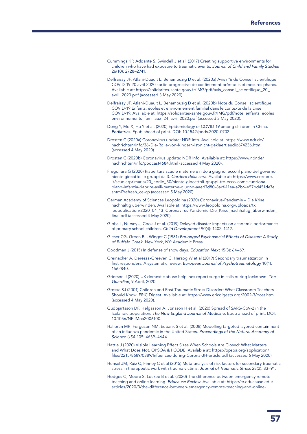- Cummings KP, Addante S, Swindell J et al. (2017) Creating supportive environments for children who have had exposure to traumatic events. *Journal of Child and Family Studies* 26(10): 2728–2741.
- Delfraissy JF, Atlani-Duault L, Benamouzig D et al. (2020a) [Avis n°6 du Conseil scientifique](https://solidarites-sante.gouv.fr/IMG/pdf/avis_conseil_scientifique_20_avril_2020.pdf)  [COVID-19 20 avril 2020](https://solidarites-sante.gouv.fr/IMG/pdf/avis_conseil_scientifique_20_avril_2020.pdf) sortie progressive de confinement prérequis et mesures phares. Available at: https://solidarites-sante.gouv.fr/IMG/pdf/avis\_conseil\_scientifique\_20 [avril\\_2020.pdf](https://solidarites-sante.gouv.fr/IMG/pdf/avis_conseil_scientifique_20_avril_2020.pdf) (accessed 3 May 2020)
- Delfraissy JF, Atlani-Duault L, Benamouzig D et al. (2020b) [Note du Conseil scientifique](https://solidarites-sante.gouv.fr/IMG/pdf/note_enfants_ecoles_environnements_familiaux_24_avri_2020.pdf)  [COVID-19 Enfants, écoles et environnement familial dans le contexte de la crise](https://solidarites-sante.gouv.fr/IMG/pdf/note_enfants_ecoles_environnements_familiaux_24_avri_2020.pdf)  [COVID-19](https://solidarites-sante.gouv.fr/IMG/pdf/note_enfants_ecoles_environnements_familiaux_24_avri_2020.pdf). Available at: https://solidarites-sante.gouv.fr/IMG/pdf/note\_enfants\_ecoles\_ environnements\_familiaux\_24\_avri\_2020.pdf (accessed 3 May 2020).
- Dong Y, Mo X, Hu Y et al. (2020) Epidemiology of COVID-19 among children in China. *Pediatrics.* Epub ahead of print. DOI: 10.1542/peds.2020-0702.
- Drosten C (2020a) Coronavirus update: NDR Info. Available at: https://www.ndr.de/ nachrichten/info/36-Die-Rolle-von-Kindern-ist-nicht-geklaert,audio674236.html (accessed 4 May 2020).
- Drosten C (2020b) Coronavirus update: NDR Info. Available at: https://www.ndr.de/ nachrichten/info/podcast4684.html (accessed 4 May 2020).
- Fregonara G (2020) Riapertura scuole materne e nido a giugno, ecco il piano del governo: niente giocattoli e gruppi da 3. *Corriere della sera.* Available at: [https://www.corriere.](https://www.corriere.it/scuola/primaria/20_aprile_30/niente-giocattoli-gruppi-tre-ecco-come-funziona-piano-infanzia-riaprire-asili-materne-giugno-aaed7d80-8acf-11ea-a2b6-e57bd451de7e.shtml?refresh_ce-cp) [it/scuola/primaria/20\\_aprile\\_30/niente-giocattoli-gruppi-tre-ecco-come-funziona](https://www.corriere.it/scuola/primaria/20_aprile_30/niente-giocattoli-gruppi-tre-ecco-come-funziona-piano-infanzia-riaprire-asili-materne-giugno-aaed7d80-8acf-11ea-a2b6-e57bd451de7e.shtml?refresh_ce-cp)[piano-infanzia-riaprire-asili-materne-giugno-aaed7d80-8acf-11ea-a2b6-e57bd451de7e.](https://www.corriere.it/scuola/primaria/20_aprile_30/niente-giocattoli-gruppi-tre-ecco-come-funziona-piano-infanzia-riaprire-asili-materne-giugno-aaed7d80-8acf-11ea-a2b6-e57bd451de7e.shtml?refresh_ce-cp) [shtml?refresh\\_ce-cp](https://www.corriere.it/scuola/primaria/20_aprile_30/niente-giocattoli-gruppi-tre-ecco-come-funziona-piano-infanzia-riaprire-asili-materne-giugno-aaed7d80-8acf-11ea-a2b6-e57bd451de7e.shtml?refresh_ce-cp) (accessed 5 May 2020).
- German Academy of Sciences Leopoldina (2020) Coronavirus-Pandemie Die Krise nachhaltig überwinden. Available at: [https://www.leopoldina.org/uploads/tx\\_](https://www.leopoldina.org/uploads/tx_leopublication/2020_04_13_Coronavirus-Pandemie-Die_Krise_nachhaltig_%C3%BCberwinden_final.pdf) [leopublication/2020\\_04\\_13\\_Coronavirus-Pandemie-Die\\_Krise\\_nachhaltig\\_überwinden\\_](https://www.leopoldina.org/uploads/tx_leopublication/2020_04_13_Coronavirus-Pandemie-Die_Krise_nachhaltig_%C3%BCberwinden_final.pdf) [final.pdf](https://www.leopoldina.org/uploads/tx_leopublication/2020_04_13_Coronavirus-Pandemie-Die_Krise_nachhaltig_%C3%BCberwinden_final.pdf) (accessed 4 May 2020).
- Gibbs L, Nursey J, Cook J et al. (2019) Delayed disaster impacts on academic performance of primary school children. *Child Development* 90(4): 1402–1412.
- Gleser CG, Green BL, Winget C (1981) *Prolonged Psychosocial Effects of Disaster: A Study of Buffalo Creek*. New York, NY: Academic Press.
- Goodman J (2015) In defense of snow days. *Education Next* 15(3): 64–69.
- Greinacher A, Derezza-Greeven C, Herzog W et al (2019) Secondary traumatization in first responders: A systematic review. *European Journal of Psychotraumatology* 10(1): 1562840.
- Grierson J (2020) UK domestic abuse helplines report surge in calls during lockdown. *The Guardian*, 9 April, 2020.
- Grosse SJ (2001) Children and Post Traumatic Stress Disorder: What Classroom Teachers Should Know. ERIC Digest. Available at: <https://www.ericdigests.org/2002-3/post.htm> (accessed 4 May 2020).
- Gudbjartsson DF, Helgasson A, Jonsson H et al. (2020) [Spread of SARS-CoV-2 in the](https://www.nejm.org/doi/full/10.1056/NEJMoa2006100)  [Icelandic population](https://www.nejm.org/doi/full/10.1056/NEJMoa2006100). *The New England Journal of Medicine.* Epub ahead of print. DOI: 10.1056/NEJMoa2006100.
- Halloran MR, Ferguson NM, Eubank S et al. (2008) Modelling targeted layered containment of an influenza pandemic in the United States. *Proceedings of the Natural Academy of Science USA* 105: 4639–4644.
- Hattie J (2020) Visible Learning Effect Sizes When Schools Are Closed: What Matters and What Does Not. OPSOA & PCODE. Available at: [https://opsoa.org/application/](https://opsoa.org/application/files/2215/8689/0389/Infuences-during-Corona-JH-article.pdf ) [files/2215/8689/0389/Infuences-during-Corona-JH-article.pdf](https://opsoa.org/application/files/2215/8689/0389/Infuences-during-Corona-JH-article.pdf ) (accessed 6 May 2020).
- Hensel JM, Ruiz C, Finney C et al (2015) Meta-analysis of risk factors for secondary traumatic stress in therapeutic work with trauma victims. *Journal of Traumatic Stres*s 28(2): 83–91.
- Hodges C, Moore S, Lockee B et al. (2020) The difference between emergency remote teaching and online learning. *Educause Review*. Available at: [https://er.educause.edu/](https://er.educause.edu/articles/2020/3/the-difference-between-emergency-remote-teaching-and-online-learning) [articles/2020/3/the-difference-between-emergency-remote-teaching-and-online-](https://er.educause.edu/articles/2020/3/the-difference-between-emergency-remote-teaching-and-online-learning)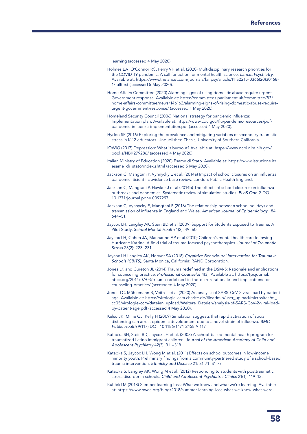[learning](https://er.educause.edu/articles/2020/3/the-difference-between-emergency-remote-teaching-and-online-learning) (accessed 4 May 2020).

- Holmes EA, O'Connor RC, Perry VH et al. (2020) Multidisciplinary research priorities for the COVID-19 pandemic: A call for action for mental health science. *Lancet Psychiatry*. Available at: [https://www.thelancet.com/journals/lanpsy/article/PIIS2215-0366\(20\)30168-](https://www.thelancet.com/journals/lanpsy/article/PIIS2215-0366(20)30168-1/fulltext) [1/fulltext](https://www.thelancet.com/journals/lanpsy/article/PIIS2215-0366(20)30168-1/fulltext) (accessed 5 May 2020).
- Home Affairs Committee (2020) Alarming signs of rising domestic abuse require urgent Government response. Available at: https://committees.parliament.uk/committee/83/ home-affairs-committee/news/146162/alarming-signs-of-rising-domestic-abuse-requireurgent-government-response/ (accessed 1 May 2020).
- Homeland Security Council (2006) [National strategy for pandemic influenza:](https://www.cdc.gov/flu/pandemic-resources/pdf/pandemic-influenza-implementation.pdf)  [Implementation plan.](https://www.cdc.gov/flu/pandemic-resources/pdf/pandemic-influenza-implementation.pdf) Available at: [https://www.cdc.gov/flu/pandemic-resources/pdf/](https://www.cdc.gov/flu/pandemic-resources/pdf/pandemic-influenza-implementation.pdf) [pandemic-influenza-implementation.pdf](https://www.cdc.gov/flu/pandemic-resources/pdf/pandemic-influenza-implementation.pdf) (accessed 4 May 2020).
- Hydon SP (2016) Exploring the prevalence and mitigating variables of secondary traumatic stress in K-12 educators. Unpublished Thesis, University of Southern California.
- IQWiG (2017) [Depression: What is burnout?](https://www.ncbi.nlm.nih.gov/books/NBK279286/) Available at: [https://www.ncbi.nlm.nih.gov/](https://www.ncbi.nlm.nih.gov/books/NBK279286/) [books/NBK279286/](https://www.ncbi.nlm.nih.gov/books/NBK279286/) (accessed 4 May 2020).
- Italian Ministry of Education (2020) Esame di Stato. Available at: [https://www.istruzione.it/](https://www.istruzione.it/esame_di_stato/index.shtml) [esame\\_di\\_stato/index.shtml](https://www.istruzione.it/esame_di_stato/index.shtml) (accessed 5 May 2020).
- Jackson C, Mangtani P, Vynnycky E et al. (2014a) Impact of school closures on an influenza pandemic: Scientific evidence base review. London: Public Health England.
- Jackson C, Mangtani P, Hawker J et al (2014b) The effects of school closures on influenza outbreaks and pandemics: Systematic review of simulation studies. *PLoS One 9*. DOI: 10.1371/journal.pone.0097297.
- Jackson C, Vynnycky E, Mangtani P (2016) The relationship between school holidays and transmission of influenza in England and Wales. *American Journal of Epidemiology* 184: 644–51.
- Jaycox LH, Langley AK, Stein BD et al (2009) Support for Students Exposed to Trauma: A Pilot Study. *School Mental Health* 1(2): 49–60.
- Jaycox LH, Cohen JA, Mannarino AP et al (2010) Children's mental health care following Hurricane Katrina: A field trial of trauma-focused psychotherapies. *Journal of Traumatic Stress* 23(2): 223–231.
- Jaycox LH Langley AK, Hoover SA (2018) *[Cognitive Behavioural Intervention for Trauma in](https://www.rand.org/content/dam/rand/pubs/tools/TL200/TL272/RAND_TL272.pdf)  [Schools \(CBITS\)](https://www.rand.org/content/dam/rand/pubs/tools/TL200/TL272/RAND_TL272.pdf)*. Santa Monica, California: RAND Corporation.
- Jones LK and Cureton JL (2014) Trauma redefined in the DSM-5: Rationale and implications for counseling practice. *Professional Counselor* 4(3). Available at: [https://tpcjournal.](https://tpcjournal.nbcc.org/2014/07/03/trauma-redefined-in-the-dsm-5-rationale-and-implications-for-counseling-practice/) [nbcc.org/2014/07/03/trauma-redefined-in-the-dsm-5-rationale-and-implications-for](https://tpcjournal.nbcc.org/2014/07/03/trauma-redefined-in-the-dsm-5-rationale-and-implications-for-counseling-practice/)[counseling-practice/](https://tpcjournal.nbcc.org/2014/07/03/trauma-redefined-in-the-dsm-5-rationale-and-implications-for-counseling-practice/) (accesseed 4 May 2020).
- Jones TC, Mühlemann B, Veith T et al (2020[\)](https://virologie-ccm.charite.de/fileadmin/user_upload/microsites/m_cc05/virologie-ccm/dateien_upload/Weitere_Dateien/analysis-of-SARS-CoV-2-viral-load-by-patient-age.pdf) [An analysis of SARS-CoV-2 viral load by patient](https://virologie-ccm.charite.de/fileadmin/user_upload/microsites/m_cc05/virologie-ccm/dateien_upload/Weitere_Dateien/analysis-of-SARS-CoV-2-viral-load-by-patient-age.pdf)  [age](https://virologie-ccm.charite.de/fileadmin/user_upload/microsites/m_cc05/virologie-ccm/dateien_upload/Weitere_Dateien/analysis-of-SARS-CoV-2-viral-load-by-patient-age.pdf). Available at: [https://virologie-ccm.charite.de/fileadmin/user\\_upload/microsites/m\\_](https://virologie-ccm.charite.de/fileadmin/user_upload/microsites/m_cc05/virologie-ccm/dateien_upload/Weitere_Dateien/analysis-of-SARS-CoV-2-viral-load-by-patient-age.pdf) [cc05/virologie-ccm/dateien\\_upload/Weitere\\_Dateien/analysis-of-SARS-CoV-2-viral-load](https://virologie-ccm.charite.de/fileadmin/user_upload/microsites/m_cc05/virologie-ccm/dateien_upload/Weitere_Dateien/analysis-of-SARS-CoV-2-viral-load-by-patient-age.pdf)[by-patient-age.pdf](https://virologie-ccm.charite.de/fileadmin/user_upload/microsites/m_cc05/virologie-ccm/dateien_upload/Weitere_Dateien/analysis-of-SARS-CoV-2-viral-load-by-patient-age.pdf) (accessed 4 May 2020).
- Kelso JK, Milne GJ, Kelly H (2009) Simulation suggests that rapid activation of social distancing can arrest epidemic development due to a novel strain of influenza. *BMC Public Health* 9(117) DOI: 10.1186/1471-2458-9-117.
- Kataoka SH, Stein BD, Jaycox LH et al. (2003) A school-based mental health program for traumatized Latino immigrant children. *Journal of the American Academy of Child and Adolescent Psychiatry* 42(3): 311–318.
- Kataoka S, Jaycox LH, Wong M et al. (2011) Effects on school outcomes in low-income minority youth: Preliminary findings from a community-partnered study of a school-based trauma intervention. *Ethnicity and Disease* 21: S1-71–S1-77.
- Kataoka S, Langley AK, Wong M et al. (2012) Responding to students with posttraumatic stress disorder in schools. *Child and Adolescent Psychiatric Clinics* 21(1): 119–13.
- Kuhfeld M (2018) [Summer learning loss: What we know and what we're learning](https://www.nwea.org/blog/2018/summer-learning-loss-what-we-know-what-were-learning/). Available at: [https://www.nwea.org/blog/2018/summer-learning-loss-what-we-know-what-were-](https://www.nwea.org/blog/2018/summer-learning-loss-what-we-know-what-were-learning/)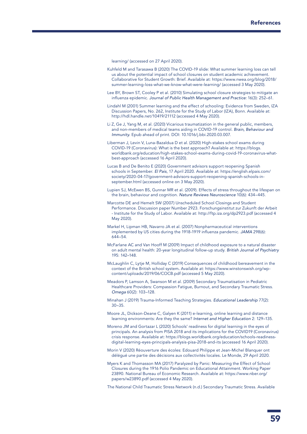[learning/](https://www.nwea.org/blog/2018/summer-learning-loss-what-we-know-what-were-learning/) (accessed on 27 April 2020).

- Kuhfeld M and Tarasawa B (2020) [The COVID-19 slide: What summer learning loss can tell](https://www.nwea.org/content/uploads/2020/04/Collaborative-Brief_Covid19-Slide-APR20.pdf)  [us about the potential impact of school closures on student academic achievement](https://www.nwea.org/content/uploads/2020/04/Collaborative-Brief_Covid19-Slide-APR20.pdf). Collaborative for Student Growth: Brief. Available at: [https://www.nwea.org/blog/2018/](https://www.nwea.org/blog/2018/summer-learning-loss-what-we-know-what-were-learning/) [summer-learning-loss-what-we-know-what-were-learning/](https://www.nwea.org/blog/2018/summer-learning-loss-what-we-know-what-were-learning/) (accessed 3 May 2020).
- Lee BY, Brown ST, Cooley P et al. (2010) Simulating school closure strategies to mitigate an influenza epidemic. *Journal of Public Health Management and Practice:* 16(3): 252–61.
- Lindahl M (2001[\) Summer learning and the effect of schooling: Evidence from Sweden,](https://www.econstor.eu/bitstream/10419/21112/1/dp262.pdf) IZA Discussion Papers, No. 262, Institute for the Study of Labor (IZA), Bonn. Available at: <http://hdl.handle.net/10419/21112>(accessed 4 May 2020).
- Li Z, Ge J, Yang M, et al. (2020) [Vicarious traumatization in the general public, members,](https://www.sciencedirect.com/science/article/pii/S0889159120303093)  [and non-members of medical teams aiding in COVID-19 control](https://www.sciencedirect.com/science/article/pii/S0889159120303093). *Brain, Behaviour and Immunity.* Epub ahead of print. DOI: 10.1016/j.bbi.2020.03.007.
- Liberman J, Levin V, Luna-Bazaldua D et al. (2020) [High-stakes school exams during](https://blogs.worldbank.org/education/high-stakes-school-exams-during-covid-19-coronavirus-what-best-approach)  [COVID-19 \(Coronavirus\): What is the best approach?](https://blogs.worldbank.org/education/high-stakes-school-exams-during-covid-19-coronavirus-what-best-approach) Available at: [https://blogs.](https://blogs.worldbank.org/education/high-stakes-school-exams-during-covid-19-coronavirus-what-best-approach) [worldbank.org/education/high-stakes-school-exams-during-covid-19-coronavirus-what](https://blogs.worldbank.org/education/high-stakes-school-exams-during-covid-19-coronavirus-what-best-approach)[best-approach](https://blogs.worldbank.org/education/high-stakes-school-exams-during-covid-19-coronavirus-what-best-approach) (accessed 16 April 2020).
- Lucas B and De Benito E (2020) [Government advisors support reopening Spanish](https://english.elpais.com/society/2020-04-17/government-advisors-support-reopening-spanish-schools-in-september.html)  [schools in September.](https://english.elpais.com/society/2020-04-17/government-advisors-support-reopening-spanish-schools-in-september.html) *El Pais*, 17 April 2020. Available at: [https://english.elpais.com/](https://english.elpais.com/society/2020-04-17/government-advisors-support-reopening-spanish-schools-in-september.html) [society/2020-04-17/government-advisors-support-reopening-spanish-schools-in](https://english.elpais.com/society/2020-04-17/government-advisors-support-reopening-spanish-schools-in-september.html)[september.html](https://english.elpais.com/society/2020-04-17/government-advisors-support-reopening-spanish-schools-in-september.html) (accessed online on 3 May 2020).
- Lupien SJ, McEwen BS, Gunnar MR et al. (2009). Effects of stress throughout the lifespan on the brain, behaviour and cognition. *Nature Reviews Neuroscience* 10(6): 434–445.
- Marcotte DE and Hemelt SW (2007[\)](http://ftp.iza.org/dp2923.pdf) [Unscheduled School Closings and Student](http://ftp.iza.org/dp2923.pdf)  [Performance. Discussion paper Number 2923.](http://ftp.iza.org/dp2923.pdf) Forschungsinstitut zur Zukunft der Arbeit - Institute for the Study of Labor. Available at: <http://ftp.iza.org/dp2923.pdf>(accessed 4 May 2020).
- Markel H, Lipman HB, Navarro JA et al. (2007) Nonpharmaceutical interventions implemented by US cities during the 1918-1919 influenza pandemic. *JAMA* 298(6): 644–54.
- McFarlane AC and Van Hooff M (2009) Impact of childhood exposure to a natural disaster on adult mental health: 20-year longitudinal follow-up study. *British Journal of Psychiatry* 195: 142–148.
- McLaughlin C, Lytje M, Holliday C (2019[\)](https://www.winstonswish.org/wp-content/uploads/2019/06/COCB.pdf) [Consequences of childhood bereavement in the](https://www.winstonswish.org/wp-content/uploads/2019/06/COCB.pdf)  [context of the British school system](https://www.winstonswish.org/wp-content/uploads/2019/06/COCB.pdf)[.](https://www.winstonswish.org/wp-content/uploads/2019/06/COCB.pdf) Available at: [https://www.winstonswish.org/wp](https://www.winstonswish.org/wp-content/uploads/2019/06/COCB.pdf)[content/uploads/2019/06/COCB.pdf](https://www.winstonswish.org/wp-content/uploads/2019/06/COCB.pdf) (accessed 5 May 2020).
- Meadors P, Lamson A, Swanson M et al. (2009) Secondary Traumatisation in Pediatric Healthcare Providers: Compassion Fatigue, Burnout, and Secondary Traumatic Stress. *Omega* 60(2): 103–128.
- Minahan J (2019) Trauma-Informed Teaching Strategies. *Educational Leadership* 77(2): 30–35.
- Moore JL, Dickson-Deane C, Galyen K (2011) e-learning, online learning and distance learning environments: Are they the same? *Internet and Higher Education* 2: 129–135.
- Moreno JM and Gortazar L (2020[\) Schools' readiness for digital learning in the eyes of](https://blogs.worldbank.org/education/schools-readiness-digital-learning-eyes-principals-analysis-pisa-2018-and-its)  [principals. An analysis from PISA 2018 and its implications for the COVID19 \(Coronavirus\)](https://blogs.worldbank.org/education/schools-readiness-digital-learning-eyes-principals-analysis-pisa-2018-and-its)  [crisis response](https://blogs.worldbank.org/education/schools-readiness-digital-learning-eyes-principals-analysis-pisa-2018-and-its). Available at: [https://blogs.worldbank.org/education/schools-readiness](https://blogs.worldbank.org/education/schools-readiness-digital-learning-eyes-principals-analysis-pisa-2018-and-its)[digital-learning-eyes-principals-analysis-pisa-2018-and-its](https://blogs.worldbank.org/education/schools-readiness-digital-learning-eyes-principals-analysis-pisa-2018-and-its) (accessed 16 April 2020).
- Morin V (2020) Réouverture des écoles: Edouard Philippe et Jean-Michel Blanquer ont délégué une partie des décisions aux collectivités locales. Le Monde, 29 April 2020.
- Myers K and Thomasson MA (2017[\) Paralyzed by Panic: Measuring the Effect of School](https://www.nber.org/papers/w23890.pdf)  [Closures during the 1916 Polio Pandemic on Educational Attainment](https://www.nber.org/papers/w23890.pdf). Working Paper 23890. National Bureau of Economic Research. Available at: [https://www.nber.org/](https://www.nber.org/papers/w23890.pdf) [papers/w23890.pdf](https://www.nber.org/papers/w23890.pdf) (accessed 4 May 2020).

The National Child Traumatic Stress Network (n.d.[\) Secondary Traumatic Stress](https://www.nctsn.org/trauma-informed-care/secondary-traumatic-stress). Available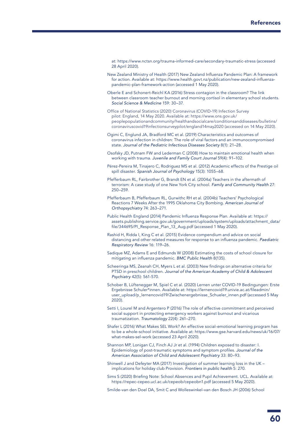at:<https://www.nctsn.org/trauma-informed-care/secondary-traumatic-stress>(accessed 28 April 2020).

New Zealand Ministry of Health (2017) [New Zealand Influenza Pandemic Plan: A framework](https://www.health.govt.nz/publication/new-zealand-influenza-pandemic-plan-framework-action)  [for action.](https://www.health.govt.nz/publication/new-zealand-influenza-pandemic-plan-framework-action) Available at: [https://www.health.govt.nz/publication/new-zealand-influenza](https://www.health.govt.nz/publication/new-zealand-influenza-pandemic-plan-framework-action)[pandemic-plan-framework-action](https://www.health.govt.nz/publication/new-zealand-influenza-pandemic-plan-framework-action) (accessed 1 May 2020).

Oberle E and Schonert-Reichl KA (2016) Stress contagion in the classroom? The link between classroom teacher burnout and morning cortisol in elementary school students. *Social Science & Medicine* 159: 30–37.

- Office of National Statistics (2020) Coronavirus (COVID-19) Infection Survey pilot: England, 14 May 2020. Available at: https://www.ons.gov.uk/ peoplepopulationandcommunity/healthandsocialcare/conditionsanddiseases/bulletins/ coronaviruscovid19infectionsurveypilot/england14may2020 (accessed on 14 May 2020).
- Ogimi C, Englund JA, Bradford MC et al. (2019) Characteristics and outcomes of coronavirus infection in children: The role of viral factors and an immunocompromised state. *Journal of the Pediatric Infectious Diseases Society* 8(1): 21–28.
- Osofsky JD, Putnam FW and Lederman C (2008) How to maintain emotional health when working with trauma. *Juvenile and Family Court Journal* 59(4): 91–102.
- [Pérez-Pereira M,](https://www.ncbi.nlm.nih.gov/pubmed/?term=P%C3%A9rez-Pereira%20M%5BAuthor%5D&cauthor=true&cauthor_uid=23156914) [Tinajero C,](https://www.ncbi.nlm.nih.gov/pubmed/?term=Tinajero%20C%5BAuthor%5D&cauthor=true&cauthor_uid=23156914) [Rodriguez MS](https://www.ncbi.nlm.nih.gov/pubmed/?term=Rodriguez%20MS%5BAuthor%5D&cauthor=true&cauthor_uid=23156914) et al. (2012) Academic effects of the Prestige oil spill disaster. *Spanish Journal of Psychology* 15(3): 1055–68.
- Pfefferbaum RL, Fairbrother G, Brandt EN et al. (2004a) Teachers in the aftermath of terrorism: A case study of one New York City school. *Family and Community Health* 27: 250–259.
- Pfefferbaum B, Pfefferbaum RL, Gurwithc RH et al. (2004b) Teachers' Psychological Reactions 7 Weeks After the 1995 Oklahoma City Bombing. *American Journal of Orthopsychiatry* 74: 263–271.
- Public Health England (2014) [Pandemic Influenza Response Plan](https://assets.publishing.service.gov.uk/government/uploads/system/uploads/attachment_data/file/344695/PI_Response_Plan_13_Aug.pdf). Available at: [https://](https://assets.publishing.service.gov.uk/government/uploads/system/uploads/attachment_data/file/344695/PI_Response_Plan_13_Aug.pdf) [assets.publishing.service.gov.uk/government/uploads/system/uploads/attachment\\_data/](https://assets.publishing.service.gov.uk/government/uploads/system/uploads/attachment_data/file/344695/PI_Response_Plan_13_Aug.pdf) [file/344695/PI\\_Response\\_Plan\\_13\\_Aug.pdf](https://assets.publishing.service.gov.uk/government/uploads/system/uploads/attachment_data/file/344695/PI_Response_Plan_13_Aug.pdf) (accessed 1 May 2020).
- Rashid H, Ridda I, King C et al. (2015) Evidence compendium and advice on social distancing and other related measures for response to an influenza pandemic. *Paediatric Respiratory Review* 16: 119–26.
- Sadique MZ, Adams E and Edmunds W (2008) Estimating the costs of school closure for mitigating an influenza pandemic. *BMC Public Health* 8(135).
- Scheeringa MS, Zeanah CH, Myers L et al. (2003) New findings on alternative criteria for PTSD in preschool children. *Journal of the American Academy of Child & Adolescent Psychiatry* 42(5): 561-570.
- Schober B, Lüftenegger M, Spiel C et al. (2020) [Lernen unter COVID-19 Bedingungen: Erste](https://lernencovid19.univie.ac.at/fileadmin/user_upload/p_lernencovid19/Zwischenergebnisse_Schueler_innen.pdf)  [Ergebnisse Schuler\\*innen](https://lernencovid19.univie.ac.at/fileadmin/user_upload/p_lernencovid19/Zwischenergebnisse_Schueler_innen.pdf). Available at: [https://lernencovid19.univie.ac.at/fileadmin/](https://lernencovid19.univie.ac.at/fileadmin/user_upload/p_lernencovid19/Zwischenergebnisse_Schueler_innen.pdf) [user\\_upload/p\\_lernencovid19/Zwischenergebnisse\\_Schueler\\_innen.pdf](https://lernencovid19.univie.ac.at/fileadmin/user_upload/p_lernencovid19/Zwischenergebnisse_Schueler_innen.pdf) (accessed 5 May 2020).
- Setti I, Lourel M and Argentero P (2016) The role of affective commitment and perceived social support in protecting emergency workers against burnout and vicarious traumatization. *Traumatology* 22(4): 261–270.
- Shafer L (2016) What Makes SEL Work? An effective social-emotional learning program has to be a whole-school initiative. Available at: [https://www.gse.harvard.edu/news/uk/16/07/](https://www.gse.harvard.edu/news/uk/16/07/what-makes-sel-work) [what-makes-sel-work](https://www.gse.harvard.edu/news/uk/16/07/what-makes-sel-work) (accessed 23 April 2020).
- Shannon MP, Lonigan CJ, Finch AJ Jr et al. (1994) Children exposed to disaster: I. Epidemiology of post-traumatic symptoms and symptom profiles. *Journal of the American Association of Child and Adolescent Psychiatry* 33: 80–93.
- Shinwell J and Defeyter MA (2017) Investigation of summer learning loss in the UK implications for holiday club Provision. *Frontiers in public health* 5: 270.
- Sims S (2020) [Briefing Note: School Absences and Pupil Achievement](https://repec-cepeo.ucl.ac.uk/cepeob/cepeobn1.pdf). UCL. Available at: <https://repec-cepeo.ucl.ac.uk/cepeob/cepeobn1.pdf> (accessed 5 May 2020).

Smilde-van den Doel DA, Smit C and Wolleswinkel-van den Bosch JH (2006) School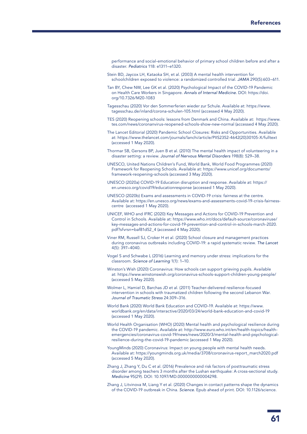performance and social-emotional behavior of primary school children before and after a disaster. *Pediatrics* 118: e1311–e1320.

- Stein BD, Jaycox LH, Kataoka SH, et al. (2003) A mental health intervention for schoolchildren exposed to violence: a randomized controlled trial. *JAMA* 290(5):603–611.
- Tan BY, Chew NW, Lee GK et al. (2020) Psychological Impact of the COVID-19 Pandemic on Health Care Workers in Singapore. *Annals of Internal Medicine.* DOI: [https://doi.](https://doi.org/10.7326/M20-1083) [org/10.7326/M20-1083](https://doi.org/10.7326/M20-1083)
- Tagesschau (2020) Vor den Sommerferien wieder zur Schule. Available at: [https://www.](https://www.tagesschau.de/inland/corona-schulen-105.html) [tagesschau.de/inland/corona-schulen-105.html](https://www.tagesschau.de/inland/corona-schulen-105.html) (accessed 4 May 2020).
- TES (2020) Reopening schools: lessons from Denmark and China. Available at: [https://www.](https://www.tes.com/news/coronanvirus-reopened-schools-show-new-normal) [tes.com/news/coronanvirus-reopened-schools-show-new-normal](https://www.tes.com/news/coronanvirus-reopened-schools-show-new-normal) (accessed 4 May 2020).
- The Lancet Editorial (2020) [Pandemic School Closures: Risks and Opportunities](https://www.thelancet.com/journals/lanchi/article/PIIS2352-4642(20)30105-X/fulltext). Available at: [https://www.thelancet.com/journals/lanchi/article/PIIS2352-4642\(20\)30105-X/fulltext](https://www.thelancet.com/journals/lanchi/article/PIIS2352-4642(20)30105-X/fulltext) (accessed 1 May 2020).
- [Thormar SB,](https://www.ncbi.nlm.nih.gov/pubmed/?term=Thormar%20SB%5BAuthor%5D&cauthor=true&cauthor_uid=20699716) [Gersons BP](https://www.ncbi.nlm.nih.gov/pubmed/?term=Gersons%20BP%5BAuthor%5D&cauthor=true&cauthor_uid=20699716), [Juen B](https://www.ncbi.nlm.nih.gov/pubmed/?term=Juen%20B%5BAuthor%5D&cauthor=true&cauthor_uid=20699716) et al. (2010) The mental health impact of volunteering in a disaster setting: a review. *Journal of Nervous Mental Disorders* 198(8): 529–38.
- UNESCO, United Nations Children's Fund, World Bank, World Food Programmes (2020) [Framework for Reopening Schools](https://unesdoc.unesco.org/ark:/48223/pf0000373348). Available at: https://www.unicef.org/documents/ framework-reopening-schools (accessed 3 May 2020).
- UNESCO (2020a[\) COVID-19 Education disruption and response.](https://en.unesco.org/covid19/educationresponse) Available at: [https://](https://en.unesco.org/covid19/educationresponse) [en.unesco.org/covid19/educationresponse](https://en.unesco.org/covid19/educationresponse) (accessed 1 May 2020).
- UNESCO (2020b[\) Exams and assessments in COVID-19 crisis: fairness at the centre.](https://en.unesco.org/news/exams-and-assessments-covid-19-crisis-fairness-centre) Available at: [https://en.unesco.org/news/exams-and-assessments-covid-19-crisis-fairness](https://en.unesco.org/news/exams-and-assessments-covid-19-crisis-fairness-centre)[centre](https://en.unesco.org/news/exams-and-assessments-covid-19-crisis-fairness-centre) (accessed 1 May 2020).
- UNICEF, WHO and IFRC (2020) Key Messages and Actions for COVID-19 Prevention and Control in Schools. Available at: [https://www.who.int/docs/default-source/coronaviruse/](https://www.who.int/docs/default-source/coronaviruse/key-messages-and-actions-for-covid-19-prevention-and-control-in-schools-march-2020.pdf?sfvrsn=baf81d52_4) [key-messages-and-actions-for-covid-19-prevention-and-control-in-schools-march-2020.](https://www.who.int/docs/default-source/coronaviruse/key-messages-and-actions-for-covid-19-prevention-and-control-in-schools-march-2020.pdf?sfvrsn=baf81d52_4) [pdf?sfvrsn=baf81d52\\_4](https://www.who.int/docs/default-source/coronaviruse/key-messages-and-actions-for-covid-19-prevention-and-control-in-schools-march-2020.pdf?sfvrsn=baf81d52_4) (accessed 4 May 2020).
- Viner RM, Russell SJ, Croker H et al. (2020) School closure and management practices during coronavirus outbreaks including COVID-19: a rapid systematic review. *The Lancet*  4(5): 397–4040.
- Vogel S and Schwabe L (2016) Learning and memory under stress: implications for the classroom. *Science of Learning* 1(1): 1–10.
- Winston's Wish (2020[\) Coronavirus: How schools can support grieving pupils.](https://www.winstonswish.org/coronavirus-schools-support-children-young-people/) Available at:<https://www.winstonswish.org/coronavirus-schools-support-children-young-people/> (accessed 5 May 2020).
- Wolmer L, Hamiel D, Barchas JD et al. (2011) Teacher-delivered resilience-focused intervention in schools with traumatized children following the second Lebanon War. *Journal of Traumatic Stress* 24:309–316.
- World Bank (2020) [World Bank Education and COVID-19. Available at: https://www.](https://www.worldbank.org/en/data/interactive/2020/03/24/world-bank-education-and-covid-19) [worldbank.org/en/data/interactive/2020/03/24/world-bank-education-and-covid-19](https://www.worldbank.org/en/data/interactive/2020/03/24/world-bank-education-and-covid-19) (accessed 1 May 2020).
- World Health Organisation (WHO) (2020) Mental health and psychological resilience during the COVID-19 pandemic. Available at: [http://www.euro.who.int/en/health-topics/health](http://www.euro.who.int/en/health-topics/health-emergencies/coronavirus-covid-19/news/news/2020/3/mental-health-and-psychological-resilience-during-the-covid-19-pandemic)[emergencies/coronavirus-covid-19/news/news/2020/3/mental-health-and-psychological](http://www.euro.who.int/en/health-topics/health-emergencies/coronavirus-covid-19/news/news/2020/3/mental-health-and-psychological-resilience-during-the-covid-19-pandemic)[resilience-during-the-covid-19-pandemic](http://www.euro.who.int/en/health-topics/health-emergencies/coronavirus-covid-19/news/news/2020/3/mental-health-and-psychological-resilience-during-the-covid-19-pandemic) (accessed 1 May 2020).
- YoungMinds (2020) Coronavirus: Impact on young people with mental health needs. Available at: [https://youngminds.org.uk/media/3708/coronavirus-report\\_march2020.pdf](https://youngminds.org.uk/media/3708/coronavirus-report_march2020.pdf) (accessed 5 May 2020).
- Zhang J, Zhang Y, Du C et al. (2016) Prevalence and risk factors of posttraumatic stress disorder among teachers 3 months after the Lushan earthquake: A cross-sectional study. *Medicine* 95(29). DOI: 10.1097/MD.0000000000004298.
- Zhang J, Litvinova M, Liang Y et al. (2020) Changes in contact patterns shape the dynamics of the COVID-19 outbreak in China. *Science*. Epub ahead of print. DOI: 10.1126/science.

61